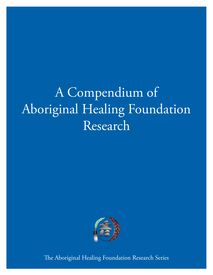# A Compendium of Aboriginal Healing Foundation Research



The Aboriginal Healing Foundation Research Series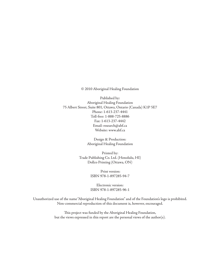© 2010 Aboriginal Healing Foundation

Published by: Aboriginal Healing Foundation 75 Albert Street, Suite 801, Ottawa, Ontario (Canada) K1P 5E7 Phone: 1-613-237-4441 Toll-free: 1-888-725-8886 Fax: 1-613-237-4442 Email: research@ahf.ca Website: www.ahf.ca

> Design & Production: Aboriginal Healing Foundation

Printed by: Trade Publishing Co. Ltd. (Honolulu, HI) Dollco Printing (Ottawa, ON)

> Print version: ISBN 978-1-897285-94-7

> Electronic version: ISBN 978-1-897285-96-1

Unauthorized use of the name "Aboriginal Healing Foundation" and of the Foundation's logo is prohibited. Non-commercial reproduction of this document is, however, encouraged.

> This project was funded by the Aboriginal Healing Foundation, but the views expressed in this report are the personal views of the author(s).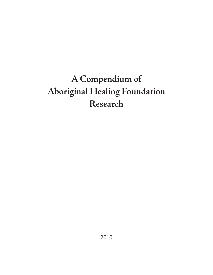# **A Compendium of Aboriginal Healing Foundation Research**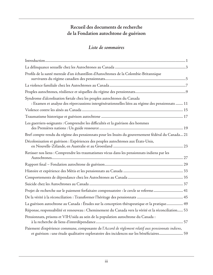# **Recueil des documents de recherche de la Fondation autochtone de guérison**

# *Liste de sommaires*

| Profils de la santé mentale d'un échantillon d'Autochtones de la Colombie-Britannique                                                                                                           |
|-------------------------------------------------------------------------------------------------------------------------------------------------------------------------------------------------|
|                                                                                                                                                                                                 |
|                                                                                                                                                                                                 |
| Syndrome d'alcoolisation fœtale chez les peuples autochtones du Canada<br>: Examen et analyse des répercussions intergénérationnelles liées au régime des pensionnats $11\,$                    |
|                                                                                                                                                                                                 |
|                                                                                                                                                                                                 |
| Les guerriers-soignants : Comprendre les difficultés et la guérison des hommes                                                                                                                  |
| Bref compte-rendu du régime des pensionnats pour les Inuits du gouvernement fédéral du Canada 21                                                                                                |
| Décolonisation et guérison : Expériences des peuples autochtones aux États-Unis,                                                                                                                |
| Retisser nos liens : Comprendre les traumatismes vécus dans les pensionnats indiens par les                                                                                                     |
|                                                                                                                                                                                                 |
|                                                                                                                                                                                                 |
|                                                                                                                                                                                                 |
|                                                                                                                                                                                                 |
| Projet de recherche sur le paiement forfaitaire compensatoire : le cercle se referme 41                                                                                                         |
|                                                                                                                                                                                                 |
| La guérison autochtone au Canada : Études sur la conception thérapeutique et la pratique 49                                                                                                     |
| Réponse, responsabilité et renouveau : Cheminement du Canada vers la vérité et la réconciliation 53                                                                                             |
| Pensionnats, prisons et VIH/sida au sein de la population autochtone du Canada :                                                                                                                |
| Paiement d'expérience commune, composante de l'Accord de règlement relatif aux pensionnats indiens,<br>et guérison : une étude qualitative exploratoire des incidences sur les bénéficiaires 59 |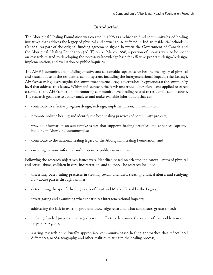# **Introduction**

The Aboriginal Healing Foundation was created in 1998 as a vehicle to fund community-based healing initiatives that address the legacy of physical and sexual abuse suffered in Indian residential schools in Canada. As part of the original funding agreement signed between the Government of Canada and the Aboriginal Healing Foundation (AHF) on 31 March 1998, a portion of monies were to be spent on research related to developing the necessary knowledge base for effective program design/redesign, implementation, and evaluation or public inquiries.

The AHF is committed to building effective and sustainable capacities for healing the legacy of physical and sexual abuse in the residential school system, including the intergenerational impacts (the Legacy). AHF's research goals recognize the commitment to encourage effective healing practices at the community level that address this legacy. Within this context, the AHF undertook operational and applied research essential to the AHF's mission of promoting community-level healing related to residential school abuse. The research goals are to gather, analyse, and make available information that can:

- contribute to effective program design/redesign, implementation, and evaluation;
- promote holistic healing and identify the best healing practices of community projects;
- provide information on substantive issues that supports healing practices and enhances capacitybuilding in Aboriginal communities;
- contribute to the national healing legacy of the Aboriginal Healing Foundation; and
- encourage a more informed and supportive public environment.

Following the research objectives, issues were identified based on selected indicators—rates of physical and sexual abuse, children in care, incarceration, and suicide. The research included:

- discerning best healing practices in treating sexual offenders, treating physical abuse, and studying how abuse passes through families;
- determining the specific healing needs of Inuit and Métis affected by the Legacy;
- investigating and examining what constitutes intergenerational impacts;
- addressing the lack in existing program knowledge regarding what constitutes greatest need;
- utilizing funded projects in a larger research effort to determine the extent of the problem in their respective regions;
- sharing research on culturally appropriate community-based healing approaches that reflect local differences, needs, geography, and other realities relating to the healing process;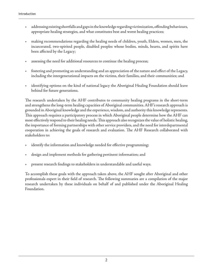- addressing existing shortfalls and gaps in the knowledge regarding victimization, offending behaviours, appropriate healing strategies, and what constitutes best and worst healing practices;
- making recommendations regarding the healing needs of children, youth, Elders, women, men, the incarcerated, two-spirited people, disabled peoples whose bodies, minds, hearts, and spirits have been affected by the Legacy;
- assessing the need for additional resources to continue the healing process;
- fostering and promoting an understanding and an appreciation of the nature and effect of the Legacy, including the intergenerational impacts on the victims, their families, and their communities; and
- identifying options on the kind of national legacy the Aboriginal Healing Foundation should leave behind for future generations.

The research undertaken by the AHF contributes to community healing programs in the short-term and strengthens the long-term healing capacities of Aboriginal communities. AHF's research approach is grounded in Aboriginal knowledge and the experience, wisdom, and authority this knowledge represents. This approach requires a participatory process in which Aboriginal people determine how the AHF can most effectively respond to their healing needs. This approach also recognizes the value of holistic healing, the importance of forming partnerships with other service providers, and the need for interdepartmental cooperation in achieving the goals of research and evaluation. The AHF Research collaborated with stakeholders to:

- identify the information and knowledge needed for effective programming;
- design and implement methods for gathering pertinent information; and
- present research findings to stakeholders in understandable and useful ways.

To accomplish these goals with the approach taken above, the AHF sought after Aboriginal and other professionals expert in their field of research. The following summaries are a compilation of the major research undertaken by these individuals on behalf of and published under the Aboriginal Healing Foundation.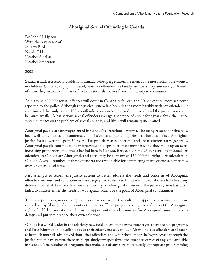#### **Aboriginal Sexual Offending in Canada**

Dr. John H. Hylton With the Assistance of: Murray Bird Nicole Eddy Heather Sinclair Heather Stenerson

2002

Sexual assault is a serious problem in Canada. Most perpetrators are men, while most victims are women or children. Contrary to popular belief, most sex offenders are family members, acquaintances, or friends of those they victimize and risk of victimization also varies from community to community.

As many as 600,000 sexual offences will occur in Canada each year, and 90 per cent or more are never reported to the police. Although the justice system has been dealing more harshly with sex offenders, it is estimated that only one in 100 sex offenders is apprehended and sent to jail, and the proportion could be much smaller. Most serious sexual offenders average a sentence of about four years; thus, the justice system's impact on the problem of sexual abuse is, and likely will remain, quite limited.

Aboriginal people are overrepresented in Canada's correctional systems. The many reasons for this have been well-documented in numerous commissions and public inquiries that have examined Aboriginal justice issues over the past 30 years. Despite decreases in crime and incarceration rates generally, Aboriginal people continue to be incarcerated in disproportionate numbers, and they make up an everincreasing proportion of all those behind bars in Canada. Between 20 and 25 per cent of convicted sex offenders in Canada are Aboriginal, and there may be as many as 150,000 Aboriginal sex offenders in Canada. A small number of these offenders are responsible for committing many offences, sometimes over long periods of time.

Past attempts to reform the justice system to better address the needs and concerns of Aboriginal offenders, victims, and communities have largely been unsuccessful, as it is unclear if there have been any deterrent or rehabilitative effects on the majority of Aboriginal offenders. The justice system has often failed to address either the needs of Aboriginal victims or the goals of Aboriginal communities.

The most promising undertaking to improve access to effective, culturally appropriate services are those carried out by Aboriginal communities themselves. These programs recognize and respect the Aboriginal right of self-determination and provide opportunities and resources for Aboriginal communities to design and put into practice their own solutions.

Canada is a world leader in the relatively new field of sex offender treatment; yet, there are few programs, and little information is available about their effectiveness. Although Aboriginal sex offenders are known to be much more disadvantaged than other offenders, and while the numbers being processed through the justice system have grown, there are surprisingly few specialized treatment resources of any kind available in Canada. The number of programs that make use of any sort of culturally appropriate programming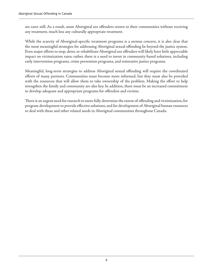are rarer still. As a result, most Aboriginal sex offenders return to their communities without receiving any treatment, much less any culturally appropriate treatment.

While the scarcity of Aboriginal-specific treatment programs is a serious concern, it is also clear that the most meaningful strategies for addressing Aboriginal sexual offending lie beyond the justice system. Even major efforts to stop, deter, or rehabilitate Aboriginal sex offenders will likely have little appreciable impact on victimization rates; rather, there is a need to invest in community-based solutions, including early intervention programs, crime prevention programs, and restorative justice programs.

Meaningful, long-term strategies to address Aboriginal sexual offending will require the coordinated efforts of many partners. Communities must become more informed, but they must also be provided with the resources that will allow them to take ownership of the problem. Making the effort to help strengthen the family and community are also key. In addition, there must be an increased commitment to develop adequate and appropriate programs for offenders and victims.

There is an urgent need for research to more fully determine the extent of offending and victimization, for program development to provide effective solutions, and for development of Aboriginal human resources to deal with these and other related needs in Aboriginal communities throughout Canada.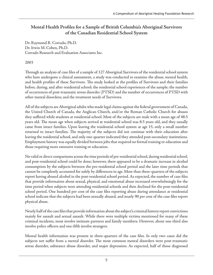# **Mental Health Profiles for a Sample of British Columbia's Aboriginal Survivors of the Canadian Residential School System**

Dr. Raymond R. Corrado, Ph.D. Dr. Irwin M. Cohen, Ph.D. Corrado Research and Evaluation Associates Inc.

#### 2003

Through an analysis of case files of a sample of 127 Aboriginal Survivors of the residential school system who have undergone a clinical assessment, a study was conducted to examine the abuse, mental health, and health profiles of these Survivors. The study looked at the profiles of Survivors and their families before, during, and after residential school; the residential school experiences of the sample; the number of occurrences of post-traumatic stress disorder (PTSD) and the number of occurrences of PTSD with other mental disorders; and the treatment needs of Survivors.

All of the subjects are Aboriginal adults who made legal claims against the federal government of Canada, the United Church of Canada, the Anglican Church, and/or the Roman Catholic Church for abuses they suffered while students at residential school. Most of the subjects are male with a mean age of 48.5 years old. The mean age when subjects arrived at residential school was 8.5 years old, and they usually came from intact families. Upon leaving the residential school system at age 15, only a small number returned to intact families. The majority of the subjects did not continue with their education after leaving the residential school, and only one-quarter indicated they attended post-secondary institutions. Employment history was equally divided between jobs that required no formal training or education and those requiring more extensive training or education.

No valid or direct comparisons across the time periods of pre-residential school, during residential school, and post-residential school could be done; however, there appeared to be a dramatic increase in alcohol consumption by the subjects between the pre-residential school period and the later time periods that cannot be completely accounted for solely by differences in age. More than three-quarters of the subjects report having abused alcohol in the post-residential school period. As expected, the number of case files that provide information about sexual, physical, and emotional abuse increased overwhelmingly for the time period when subjects were attending residential schools and then declined for the post-residential school period. One hundred per cent of the case files reporting abuse during attendance at residential school indicate that the subjects had been sexually abused, and nearly 90 per cent of the case files report physical abuse.

Nearly half of the case files that provide information about the subject's criminal history report convictions mainly for assault and sexual assault. While there were multiple victims mentioned for many of these criminal incidents, most involve intimate partners and family members. However, about one-third also involve police officers and one-fifth involve strangers.

Mental health information was present in three-quarters of the case files. In only two cases did the subjects not suffer from a mental disorder. The most common mental disorders were post-traumatic stress disorder, substance abuse disorder, and major depression. As expected, half of those diagnosed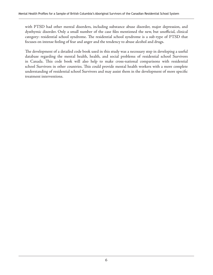with PTSD had other mental disorders, including substance abuse disorder, major depression, and dysthymic disorder. Only a small number of the case files mentioned the new, but unofficial, clinical category: residential school syndrome. The residential school syndrome is a sub-type of PTSD that focuses on intense feeling of fear and anger and the tendency to abuse alcohol and drugs.

The development of a detailed code book used in this study was a necessary step in developing a useful database regarding the mental health, health, and social problems of residential school Survivors in Canada. This code book will also help to make cross-national comparisons with residential school Survivors in other countries. This could provide mental health workers with a more complete understanding of residential school Survivors and may assist them in the development of more specific treatment interventions.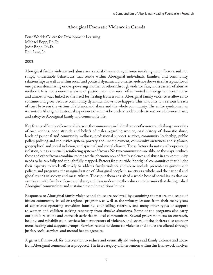# **Aboriginal Domestic Violence in Canada**

Four Worlds Centre for Development Learning Michael Bopp, Ph.D. Judie Bopp, Ph.D. Phil Lane, Jr.

#### 2003

Aboriginal family violence and abuse are a social disease or syndrome involving many factors and not simply undesirable behaviours that reside within Aboriginal individuals, families, and community relationships as well as within social and political dynamics. Domestic violence shows itself as a practice of one person dominating or overpowering another or others through violence, fear, and a variety of abusive methods. It is not a one-time event or pattern, and it is most often rooted in intergenerational abuse and almost always linked to the need for healing from trauma. Aboriginal family violence is allowed to continue and grow because community dynamics allows it to happen. This amounts to a serious breach of trust between the victims of violence and abuse and the whole community. The entire syndrome has its roots in Aboriginal historical experience that must be understood in order to restore wholeness, trust, and safety to Aboriginal family and community life.

Key factors of family violence and abuse in the community include: absence of remorse and taking ownership of own actions, poor attitude and beliefs of males regarding women, past history of domestic abuse, levels of personal and community wellness, professional support services, community leadership, public policy, policing and the justice system, poverty and unemployment, community awareness and vigilance, geographical and social isolation, and spiritual and moral climate. These factors do not usually operate in isolation, but as a mutually reinforcing system of factors. No two communities are alike, so the ways in which these and other factors combine to impact the phenomenon of family violence and abuse in any community needs to be carefully and thoughtfully mapped. Factors from outside Aboriginal communities that hinder their capacity to work effectively to address family violence and abuse include present-day government policies and programs, the marginalization of Aboriginal people in society as a whole, and the national and global trends in society and mass culture. These put them at risk of a whole host of social issues that are associated with family violence and abuse, and thus undermine the values and dynamics that distinguished Aboriginal communities and sustained them in traditional times.

Responses to Aboriginal family violence and abuse are reviewed by examining the nature and scope of fifteen community-based or regional programs, as well as the primary lessons from their many years of experience operating transition housing, counselling, referrals, and many other types of support to women and children seeking sanctuary from abusive situations. Some of the programs also carry out public relations and outreach activities in local communities. Several programs focus on outreach, healing, and rehabilitation services for perpetrators of violence, and several of the shelters also sponsor men's healing and support groups. Services related to domestic violence and abuse are offered through justice, social services, and mental health agencies.

A generic framework for intervention to reduce and eventually rid widespread family violence and abuse from Aboriginal communities is proposed. The first category of intervention within this framework involves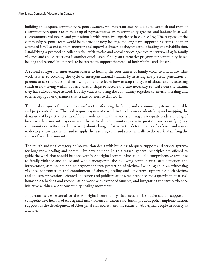building an adequate community response system. An important step would be to establish and train of a community response team made up of representatives from community agencies and leadership, as well as community volunteers and professionals with extensive experience in counselling. The purpose of the community response team would be to provide safety, healing, and long-term support for victims and their extended families and contain, monitor, and supervise abusers as they undertake healing and rehabilitation. Establishing a protocol in collaboration with justice and social service agencies for intervening in family violence and abuse situations is another crucial step. Finally, an alternative program for community-based healing and reconciliation needs to be created to support the needs of both victims and abusers.

A second category of intervention relates to healing the root causes of family violence and abuse. This work relates to breaking the cycle of intergenerational trauma by assisting the present generation of parents to see the roots of their own pain and to learn how to stop the cycle of abuse and by assisting children now living within abusive relationships to receive the care necessary to heal from the trauma they have already experienced. Equally vital is to bring the community together to envision healing and to interrupt power dynamics that create barriers to this work.

The third category of intervention involves transforming the family and community systems that enable and perpetuate abuse. This task requires systematic work in two key areas: identifying and mapping the dynamics of key determinants of family violence and abuse and acquiring an adequate understanding of how each determinant plays out with the particular community system in question; and identifying key community capacities needed to bring about change relative to the determinants of violence and abuse, to develop those capacities, and to apply them strategically and systematically to the work of shifting the status of key determinants.

The fourth and final category of intervention deals with building adequate support and service systems for long-term healing and community development. In this regard, general principles are offered to guide the work that should be done within Aboriginal communities to build a comprehensive response to family violence and abuse and would incorporate the following components: early detection and intervention, safe houses and emergency shelters, protection of victims, including children witnessing violence, confrontation and containment of abusers, healing and long-term support for both victims and abusers, prevention-oriented education and public relations, maintenance and supervision of at-risk households, healing and reconciliation work with extended families, and integrating the family violence initiative within a wider community healing movement.

Important issues external to the Aboriginal community that need to be addressed in support of comprehensive healing of Aboriginal family violence and abuse are: funding, public policy implementation, support for the development of Aboriginal civil society, and the status of Aboriginal people in society as a whole.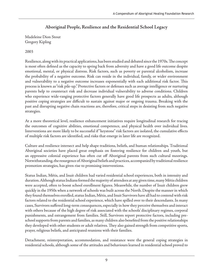# **Aboriginal People, Resilience and the Residential School Legacy**

Madeleine Dion Stout Gregory Kipling

#### 2003

Resilience, along with its practical applications, has been studied and debated since the 1970s. The concept is most often defined as the capacity to spring back from adversity and have a good life outcome despite emotional, mental, or physical distress. Risk factors, such as poverty or parental alcoholism, increase the probability of a negative outcome. Risk can reside in the individual, family, or wider environment and vulnerability to a negative outcome increases exponentially with each additional risk factor. This process is known as "risk pile-up." Protective factors or defenses such as average intelligence or nurturing parents help to counteract risk and decrease individual vulnerability to adverse conditions. Children who experience wide-ranging protective factors generally have good life prospects as adults, although positive coping strategies are difficult to sustain against major or ongoing trauma. Breaking with the past and disrupting negative chain reactions are, therefore, critical steps in desisting from such negative strategies.

At a more theoretical level, resilience enhancement initiatives require longitudinal research for tracing the outcomes of cognitive abilities, emotional competence, and physical health over individual lives. Interventions are more likely to be successful if "keystone" risk factors are isolated, the cumulative effects of multiple risk factors are identified, and risks that emerge in later life are recognized.

Culture and resilience intersect and help shape traditions, beliefs, and human relationships. Traditional Aboriginal societies have placed great emphasis on fostering resilience for children and youth, but an oppressive colonial experience has often cut off Aboriginal parents from such cultural moorings. Notwithstanding, the resurgence of Aboriginal beliefs and practices, accompanied by traditional resilience promotion strategies, has given rise to promising interventions.

Status Indian, Métis, and Inuit children had varied residential school experiences, both in intensity and duration. Although status Indians formed the majority of attendees at any given time, many Métis children were accepted, often to boost school enrollment figures. Meanwhile, the number of Inuit children grew quickly in the 1950s when a network of schools was built across the North. Despite the manner in which they found themselves enrolled, status Indian, Métis, and Inuit Survivors have all had to contend with risk factors related to the residential school experience, which have spilled over to their descendants. In many cases, Survivors suffered long-term consequences, especially in how they perceive themselves and interact with others because of the high degree of risk associated with the schools' disciplinary regimes, corporal punishments, and estrangement from families. Still, Survivors report protective factors, including preschool supports from parents and families, as many children also benefited from the positive relationships they developed with other students or adult relatives. They also gained strength from competitive sports, prayer, religious beliefs, and anticipated reunions with their families.

Detachment, reinterpretation, accommodation, and resistance were the general coping strategies in residential schools, although some of the attitudes and behaviours learned in residential school proved to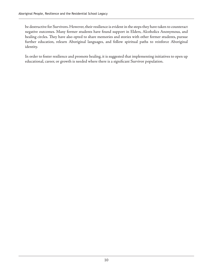be destructive for Survivors. However, their resilience is evident in the steps they have taken to counteract negative outcomes. Many former students have found support in Elders, Alcoholics Anonymous, and healing circles. They have also opted to share memories and stories with other former students, pursue further education, relearn Aboriginal languages, and follow spiritual paths to reinforce Aboriginal identity.

In order to foster resilience and promote healing, it is suggested that implementing initiatives to open up educational, career, or growth is needed where there is a significant Survivor population.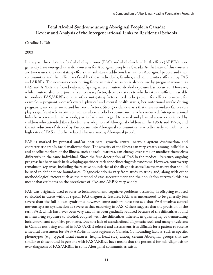# **Fetal Alcohol Syndrome among Aboriginal People in Canada: Review and Analysis of the Intergenerational Links to Residential Schools**

#### Caroline L. Tait

#### 2003

In the past three decades, fetal alcohol syndrome (FAS), and alcohol-related birth effects (ARBEs) more generally, have emerged as health concerns for Aboriginal people in Canada. At the heart of this concern are two issues: the devastating effects that substance addiction has had on Aboriginal people and their communities and the difficulties faced by those individuals, families, and communities affected by FAS and ARBEs. The necessary contributing factor in this discussion is alcohol use by pregnant women, as FAS and ARBEs are found only in offspring where in-utero alcohol exposure has occurred. However, while in-utero alcohol exposure is a necessary factor, debate exists as to whether it is a sufficient variable to produce FAS/ARBEs or that other mitigating factors need to be present for effects to occur; for example, a pregnant woman's overall physical and mental health status, her nutritional intake during pregnancy, and other social and historical factors. Strong evidence exists that these secondary factors can play a significant role in birth outcomes where alcohol exposure in-utero has occurred. Intergenerational links between residential schools, particularly with regard to sexual and physical abuse experienced by children who attended the schools, mass adoption of Aboriginal children in the 1960s and 1970s, and the introduction of alcohol by Europeans into Aboriginal communities have collectively contributed to high rates of FAS and other related illnesses among Aboriginal people.

FAS is marked by prenatal and/or post-natal growth, central nervous system dysfunction, and characteristic cranio-facial malformations. The severity of the illness can vary greatly among individuals, and specific markers of the illness, such as facial features, can change over time or manifest themselves differently in the same individual. Since the first description of FAS in the medical literature, ongoing progress has been made in developing specific criteria for delineating this syndrome. However, controversy remains in key areas, including the relative boundaries of the diagnosis as well as the markers that should be used to define those boundaries. Diagnostic criteria vary from study to study and, along with other methodological factors such as the method of case ascertainment and the population surveyed, this has meant that estimates on the prevalence of FAS and ARBEs vary widely.

FAE was originally used to refer to behavioural and cognitive problems occurring in offspring exposed to alcohol in-utero without typical FAS diagnostic features. FAE was understood to be generally less severe than the full-blown syndrome; however, some authors have stressed that FAE involves central nervous system dysfunction as severe as that occurring in FAS. Others suggest that the precision of the term FAE, which has never been very exact, has been gradually reduced because of the difficulties found in measuring exposure to alcohol, coupled with the difficulties inherent in quantifying or demarcating behavioural and cognitive problems. Due to a lack of standardized diagnostic tools and many physicians in Canada not being trained in FAS/ARBE referral and assessment, it is difficult for a patient to receive a medical assessment for FAS/ARBEs in most regions of Canada. Confounding factors, such as specific phenotypes (e.g., typical facial features, height, head size) among certain Aboriginal groups that are similar to those found in persons with FAS/ARBEs, have meant that the potential for mis-diagnosis or over-diagnosis of FAS/ARBEs in some Aboriginal communities exists.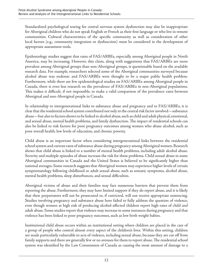Standardized psychological testing for central nervous system dysfunction may also be inappropriate for Aboriginal children who do not speak English or French as their first language or who live in remote communities. Cultural characteristics of the specific community as well as consideration of other local factors (e.g., community integration or dysfunction) must be considered in the development of appropriate assessment tools.

Epidemiology studies suggest that rates of FAS/ARBEs, especially among Aboriginal people in North America, may be increasing. However, this claim, along with suggestions that FAS/ARBEs are more prevalent among Aboriginal groups than non-Aboriginal groups, is questionable based on the available research data. For example, researchers selected some of the Aboriginal communities surveyed because alcohol abuse was endemic and FAS/ARBEs were thought to be a major public health problem. Furthermore, while there are few epidemiological studies on FAS/ARBEs among Aboriginal people in Canada, there is even less research on the prevalence of FAS/ARBEs in non-Aboriginal populations. This makes it difficult, if not impossible, to make a valid comparison of the prevalence rates between Aboriginal and non-Aboriginal people in Canada.

In relationship to intergenerational links to substance abuse and pregnancy and to FAS/ARBEs, it is clear that the residential school system contributed not only to the central risk factor involved—substance abuse—but also to factors shown to be linked to alcohol abuse, such as child and adult physical, emotional, and sexual abuse, mental health problems, and family dysfunction. The impact of residential schools can also be linked to risk factors for poor pregnancy outcomes among women who abuse alcohol, such as poor overall health, low levels of education, and chronic poverty.

Child abuse is an important factor when considering intergenerational links between the residential school system and current rates of substance abuse during pregnancy among Aboriginal women. Research shows that child abuse is linked to a number of mental health problems, including adult alcohol abuse. Severity and multiple episodes of abuse increase the risk for these problems. Child sexual abuse in some Aboriginal communities in Canada and the United States is believed to be significantly higher than national averages. Some research suggests that Aboriginal women may experience higher levels of certain symptomatology following childhood or adult sexual abuse, such as somatic symptoms, alcohol abuse, mental health problems, sleep disturbances, and sexual difficulties.

Aboriginal victims of abuse and their families may face numerous barriers that prevent them from reporting the abuse. Furthermore, they may have limited support if they do report abuse, and it is likely that their perpetrators will not be prosecuted or, if convicted, will not receive appropriate sentencing. Studies involving pregnancy and substance abuse have failed to fully address the question of violence, even though women at high risk of producing alcohol-affected children report high rates of child and adult abuse. Some studies report that violence may increase in some instances during pregnancy and that violence has been linked to poor pregnancy outcomes, such as low birth weight babies.

Institutional child abuse occurs within an institutional setting where children are placed in the care of a group of people who control almost every aspect of the children's lives. Within this setting, children are made particularly vulnerable to acts of violence, including sexual abuse, because they are cut off from family supports and there are generally few or no avenues for them to report abuse. The residential school system was identified by the Law Commission of Canada as causing the most amount of damage to a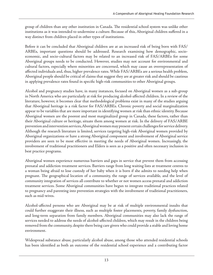group of children than any other institution in Canada. The residential school system was unlike other institutions as it was intended to undermine a culture. Because of this, Aboriginal children suffered in a way distinct from children placed in other types of institutions.

Before it can be concluded that Aboriginal children are at an increased risk of being born with FAS/ ARBEs, important questions should be addressed. Research examining how demographic, socioeconomic, and socio-cultural factors may be related to an increased risk of FAS/ARBEs for some Aboriginal groups needs to be conducted. However, studies may not account for environmental and cultural factors, especially where minorities are concerned, which may cause an overrepresentation of affected individuals and, thus, higher prevalence rates. While FAS/ARBEs are a serious health problem, Aboriginal people should be critical of claims that suggest they are at greater risk and should be cautious in applying prevalence rates found in specific high-risk communities to other Aboriginal groups.

Alcohol and pregnancy studies have, in many instances, focused on Aboriginal women as a sub-group in North America who are particularly at risk for producing alcohol-affected children. In a review of the literature, however, it becomes clear that methodological problems exist in many of the studies arguing that Aboriginal heritage is a risk factor for FAS/ARBEs. Chronic poverty and social marginalization appear to be variables that are more important in identifying women at risk than ethnic identity. Because Aboriginal women are the poorest and most marginalized group in Canada, these factors, rather than their Aboriginal culture or heritage, situate them among women at risk. In the delivery of FAS/ARBE prevention and intervention services, Aboriginal women may present certain challenges for service delivery. Although the research literature is limited, services targeting high-risk Aboriginal women provided by Aboriginal organizations or have a strong Aboriginal component and involvement of Aboriginal service providers are seen to be most effective in meeting the needs of Aboriginal women. Increasingly, the involvement of traditional practitioners and Elders is seen as a positive and often necessary inclusion in best practice programs.

Aboriginal women experience numerous barriers and gaps in service that prevent them from accessing prenatal and addiction treatment services. Barriers range from long waiting lists at treatment centres to a woman being afraid to lose custody of her baby when it is born if she admits to needing help when pregnant. The geographical location of a community, the range of services available, and the level of community integration of services all contribute to whether or not women access prenatal and addiction treatment services. Some Aboriginal communities have begun to integrate traditional practices related to pregnancy and parenting into prevention strategies with the involvement of traditional practitioners, such as mid-wives.

Alcohol-affected persons who are Aboriginal may be at risk of multiple environmental insults that could further exaggerate their illness, such as multiple foster placements, poverty, family dysfunction, and long-term separation from family members. Aboriginal communities may also lack the range of services needed to address the needs of alcohol-affected children, which may result in the children being removed from the community, despite there being care givers who could provide a stable and loving home environment.

Widespread substance abuse, particularly alcohol abuse, among those who attended residential schools has been identified as both an outcome of the residential school experience and a contributing factor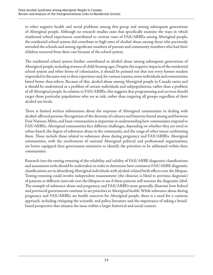to other negative health and social problems among this group and among subsequent generations of Aboriginal people. Although no research studies exist that specifically examine the ways in which residential school experiences contributed to current rates of FAS/ARBEs among Aboriginal people, the residential school system did contribute to high rates of alcohol abuse among those who previously attended the schools and among significant numbers of parents and community members who had their children removed from their care because of the school system.

The residential school system further contributed to alcohol abuse among subsequent generations of Aboriginal people, including women of child-bearing ages. Despite the negative impacts of the residential school system and other forms of colonization, it should be pointed out that not every former student responded in the same way to their experience and, for various reasons, some individuals and communities faired better than others. Because of this, alcohol abuse among Aboriginal people in Canada varies and it should be understood as a problem of certain individuals and subpopulations, rather than a problem of all Aboriginal people. In relation to FAS/ARBEs, this suggests that programming and services should target those particular populations who are at risk, rather than targeting all groups regardless of their alcohol use levels.

There is limited written information about the response of Aboriginal communities in dealing with alcohol-affected persons. Recognition of the diversity of cultures and histories found among and between First Nations, Métis, and Inuit communities is important in understanding how communities respond to FAS/ARBEs. Aboriginal communities face different challenges, depending on whether they are rural or urban-based, the degree of substance abuse in the community, and the range of other issues confronting them. These include those related to substance abuse during pregnancy and FAS/ARBEs. Aboriginal communities, with the involvement of national Aboriginal political and professional organizations, are better equipped than government ministries to identify the priorities to be addressed within their communities.

Research into the testing-retesting of the reliability and validity of FAS/ARBE diagnostic classifications and assessment tools should be undertaken in order to determine how consistent FAS/ARBE diagnostic classifications are in identifying Aboriginal individuals with alcohol-related birth effects over the lifespan. Testing-retesting could involve independent reassessment (the clinician is blind to previous diagnosis) of patients at different intervals over the lifespan to see if these patients still warrant the diagnostic label. The example of substance abuse and pregnancy, and FAS/ARBEs more generally, illustrate how federal and provincial governments continue to set priorities in Aboriginal health. While substance abuse during pregnancy and FAS/ARBEs are health concerns for Aboriginal people, there is a need for a cautious approach, including critiquing the scientific and policy literature and the importance of taking a broadbased perspective that situates the issue within a larger historical and social context.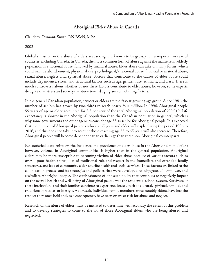# **Aboriginal Elder Abuse in Canada**

#### Claudette Dumont-Smith, RN BScN, MPA

#### 2002

Global statistics on the abuse of elders are lacking and known to be grossly under-reported in several countries, including Canada. In Canada, the most common form of abuse against the mainstream elderly population is emotional abuse, followed by financial abuse. Elder abuse can take on many forms, which could include abandonment, physical abuse, psychological/emotional abuse, financial or material abuse, sexual abuse, neglect and, spiritual abuse. Factors that contribute to the causes of elder abuse could include dependency, stress, and structural factors such as age, gender, race, ethnicity, and class. There is much controversy about whether or not these factors contribute to elder abuse; however, some experts do agree that stress and society's attitude toward aging are contributing factors.

In the general Canadian population, seniors or elders are the fastest growing age group. Since 1981, the number of seniors has grown by two-thirds to reach nearly four million. In 1996, Aboriginal people 55 years of age or older accounted for 8.3 per cent of the total Aboriginal population of 799,010. Life expectancy is shorter in the Aboriginal population than the Canadian population in general, which is why some governments and other agencies consider age 55 as senior for Aboriginal people. It is expected that the number of Aboriginal persons who are 65 years and older will triple during the period 1996 to 2016, and this does not take into account those reaching age 55 to 65 years will also increase. Therefore, Aboriginal people will become dependent at an earlier age than their non-Aboriginal counterparts.

No statistical data exists on the incidence and prevalence of elder abuse in the Aboriginal population; however, violence in Aboriginal communities is higher than in the general population. Aboriginal elders may be more susceptible to becoming victims of elder abuse because of various factors such as overall poor health status, loss of traditional role and respect in the immediate and extended family structures, and lack of community elder-specific health and social services. These factors are linked to the colonization process and its strategies and policies that were developed to subjugate, dis-empower, and assimilate Aboriginal people. The establishment of one such policy that continues to negatively impact on the overall health and well-being of Aboriginal people was the residential school system. Survivors of these institutions and their families continue to experience losses, such as cultural, spiritual, familial, and traditional practices or lifestyle. As a result, individual family members, most notably elders, have lost the respect they once held and, as a consequence, have been or are at risk for abuse and neglect.

Research on the abuse of elders must be initiated to determine with accuracy the extent of this problem and to develop strategies to come to the aid of those Aboriginal elders who are being abused and neglected.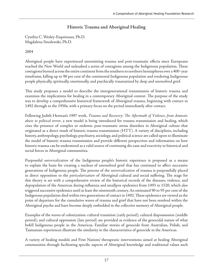# **Historic Trauma and Aboriginal Healing**

Cynthia C. Wesley-Esquimaux, Ph.D. Magdalena Smolewski, Ph.D.

2004

Aboriginal people have experienced unremitting trauma and post-traumatic effects since Europeans reached the New World and unleashed a series of contagions among the Indigenous population. These contagions burned across the entire continent from the southern to northern hemispheres over a 400- year timeframe, killing up to 90 per cent of the continental Indigenous population and rendering Indigenous people physically, spiritually, emotionally, and psychically traumatized by deep and unresolved grief.

This study proposes a model to describe the intergenerational transmission of historic trauma and examines the implications for healing in a contemporary Aboriginal context. The purpose of the study was to develop a comprehensive historical framework of Aboriginal trauma, beginning with contact in 1492 through to the 1950s, with a primary focus on the period immediately after contact.

Following Judith Herman's 1997 work, *Trauma and Recovery: The Aftermath of Violence, from domestic abuse to political terror*, a new model is being introduced for trauma transmission and healing, which cites the presence of complex or endemic post-traumatic stress disorders in Aboriginal culture that originated as a direct result of historic trauma transmission (HTT). A variety of disciplines, including history, anthropology, psychology, psychiatry, sociology, and political science are called upon to illuminate the model of historic trauma transmission and provide different perspectives and information on how historic trauma can be understood as a valid source of continuing dis-ease and reactivity to historical and social forces in Aboriginal communities.

Purposeful *universalization* of the Indigenous people's historic experience is proposed as a means to explain the basis for creating a nucleus of unresolved grief that has continued to affect successive generations of Indigenous people. The process of the *universalization* of trauma is purposefully placed in direct opposition to the *particularization* of Aboriginal cultural and social suffering. The stage for this theory is set with a comprehensive review of the historical records of the diseases, violence, and depopulation of the Americas during influenza and smallpox epidemics from 1493 to 1520, which also triggered successive epidemics until at least the nineteenth century. An estimated 90 to 95 per cent of the Indigenous population died within two generations of contact in 1492. These epidemics are viewed as the point of departure for the cumulative waves of trauma and grief that have not been resolved within the Aboriginal psyche and have become deeply embedded in the collective memory of Aboriginal people.

Examples of the waves of colonization: cultural transition (early period); cultural dispossession (middle period); and cultural oppression (late period) are provided as evidence of the genocidal nature of what befell Indigenous people in the Americas. Familiar stories of genocide from Australian, Polish, and Tasmanian experiences illustrate the similarity in the characteristics of genocide in the Americas.

A variety of healing models and First Nations' therapeutic interventions aimed at healing Aboriginal communities through facilitating specific aspects of Aboriginal knowledge and traditional values such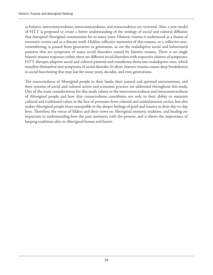as balance, interconnectedness, intraconnectedness, and transcendence are reviewed. Also, a new model of HTT is proposed to create a better understanding of the etiology of social and cultural diffusion that disrupted Aboriginal communities for so many years. Historic trauma is understood as a cluster of traumatic events and as a disease itself. Hidden collective memories of this trauma, or a collective nonremembering, is passed from generation to generation, as are the maladaptive social and behavioural patterns that are symptoms of many social disorders caused by historic trauma. There is no single historic trauma response; rather, there are different social disorders with respective clusters of symptoms. HTT disrupts adaptive social and cultural patterns and transforms them into maladaptive ones, which manifest themselves into symptoms of social disorder. In short, historic trauma causes deep breakdowns in social functioning that may last for many years, decades, and even generations.

The connectedness of Aboriginal people to their lands, their natural and spiritual environments, and their systems of social and cultural action and economic practice are addressed throughout this study. One of the main considerations for this study relates to the interconnectedness and intraconnectedness of Aboriginal people and how that connectedness contributes not only to their ability to maintain cultural and traditional values in the face of pressures from colonial and assimilationist tactics, but also makes Aboriginal people more susceptible to the deeper feelings of grief and trauma in their day-to-day lives. Therefore, the voices of Elders and their views on Aboriginal memory, tradition, and healing are important in understanding how the past intersects with the present, and it shows the importance of keeping traditions alive in Aboriginal homes and hearts.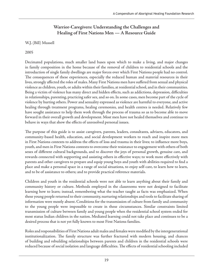# **Warrior-Caregivers: Understanding the Challenges and Healing of First Nations Men — A Resource Guide**

#### W.J. (Bill) Mussell

#### 2005

Decimated populations, much smaller land bases upon which to make a living, and major changes in family composition in the home because of the removal of children to residential schools and the introduction of single family dwellings are major forces over which First Nations people had no control. The consequences of these experiences, especially the reduced human and material resources in their lives, strongly affected the roles of males. Many First Nations men have suffered from sexual and physical violence as children, youth, or adults within their families, at residential school, and in their communities. Being a victim of violence has many direct and hidden effects, such as addictions, depression, difficulties in relationships, parenting, practicing safer sex, and so on. In some cases, men become part of the cycle of violence by hurting others. Power and sexuality expressed as violence are harmful to everyone, and active healing through treatment programs, healing ceremonies, and health centres is needed. Relatively few have sought assistance to help them work through the process of trauma so as to become able to move forward in their overall growth and development. Most men have not healed themselves and continue to behave in ways that show the effects of unresolved personal issues.

The purpose of this guide is to assist caregivers, parents, leaders, consultants, advisers, educators, and community-based health, education, and social development workers to reach and inspire more men in First Nations contexts to address the effects of loss and trauma in their lives; to influence more boys, youth, and men in First Nations contexts to overcome their resistance to engagement with others of both sexes of different cultural backgrounds, and to discover the joys of personal growth, genuine care, and rewards connected with supporting and assisting others in effective ways; to work more effectively with parents and other caregivers to prepare and equip young boys and youth with abilities required to find a place and make a personal space in a range of social situations, to enjoy self-care, to learn how to learn, and to be of assistance to others; and to provide practical reference materials.

Children and youth in the residential schools were not able to learn anything about their family and community history or culture. Methods employed in the classrooms were not designed to facilitate learning how to learn; instead, remembering what the teacher taught as facts was emphasized. When these young people returned to their community, nurturing relationships and tools to facilitate sharing of information were mostly absent. Conditions for the transmission of culture from family and community to the young people were impossible to create in these circumstances. Similar constraints limited transmission of culture between family and young people when the residential school system ended for most status Indian children in the nation. Mediated learning could not take place and continues to be a desired process that is not yet fully known to most First Nations families.

Roles and responsibilities of First Nations adult males and females were modified by the intergenerational institutionalization. The family structure was further fractured with modern housing, and chances of building and rebuilding relationships between parents and children in the residential schools were reduced because of social isolation and language difficulties. The effects of residential schooling included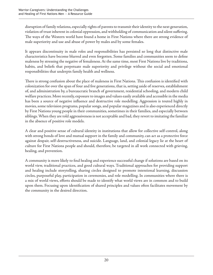disruption of family relations, especially rights of parents to transmit their identity to the next generation, violation of trust inherent in colonial oppression, and withholding of communication and silent suffering. The ways of the Western world have found a home in First Nations where there are strong evidence of male superiority and use and abuse of power by males and by some females.

It appears discontinuity in male roles and responsibilities has persisted so long that distinctive male characteristics have become blurred and even forgotten. Some families and communities seem to define maleness by stressing the negative of femaleness. At the same time, most First Nations live by traditions, habits, and beliefs that perpetuate male superiority and privilege without the social and emotional responsibilities that underpin family health and wellness.

There is strong confusion about the place of maleness in First Nations. This confusion is identified with colonization for over the span of four and five generations, that is, setting aside of reserves, establishment of, and administration by, a bureaucratic branch of government, residential schooling, and modern child welfare practices. More recently, exposure to images and values easily available and accessible in the media has been a source of negative influence and destructive role modelling. Aggression is touted highly in movies, some television programs, popular songs, and popular magazines and is also experienced directly by First Nations young people in their communities, sometimes in their families, and especially between siblings. When they are told aggressiveness is not acceptable and bad, they revert to imitating the familiar in the absence of positive role models.

A clear and positive sense of cultural identity in institutions that allow for collective self-control, along with strong bonds of love and mutual support in the family and community, can act as a protective force against despair, self-destructiveness, and suicide. Language, land, and colonial legacy lie at the heart of culture for First Nations people and should, therefore, be targeted in all work connected with grieving, healing, and prevention.

A community is more likely to find healing and experience successful change if solutions are based on its world view, traditional practices, and good cultural ways. Traditional approaches for providing support and healing include storytelling, sharing circles designed to promote intentional learning, discussion circles, purposeful play, participation in ceremonies, and role modelling. In communities where there is a mix of world views, efforts should be made to identify what world views are in common and to build upon them. Focusing upon identification of shared principles and values often facilitates movement by the community in the desired direction.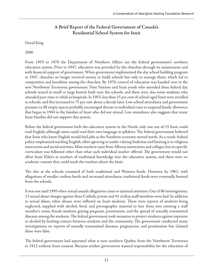# **A Brief Report of the Federal Government of Canada's Residential School System for Inuit**

#### David King

2006

From 1955 to 1970 the Department of Northern Affairs ran the federal government's northern education system. Prior to 1947, education was provided by the churches through its missionaries and with financial support of government. When government implemented the day school building program in 1947, churches no longer received money to build schools but only to manage them, which led to competition and hostilities among the churches. By 1970, control of education was handed over to the new Northwest Territories government. First Nations and Inuit youth who attended these federal day schools stayed in small or large hostels built near the schools, and there were also some students who attended part-time or while in hospitals. In 1955, less than 15 per cent of school-aged Inuit were enrolled in schools, and this increased to 75 per cent about a decade later. Low school attendance and government pressure to fill empty spaces probably encouraged threats in individual cases to suspend family allowance that began in 1944 to the families of Inuit who did not attend. Low attendance also suggests that many Inuit families did not support this system.

Before the federal government built the education system in the North, only one out of 15 Inuit could read English, although most could read their own language in syllabics. The federal government believed that Inuit who knew English would find jobs as the Southern economy moved north. As a result, federal policy emphasized teaching English, often ignoring or under-valuing Inuktitut and limiting it to religious instruction and social activities. Most teachers came from Alberta universities and colleges, but no specific curriculum was followed other than what each individual teacher offered. The government would not allow Inuit Elders as teachers of traditional knowledge into the education system, and there were no academic courses that could teach the teachers about the Inuit.

The diet at the schools consisted of both traditional and Western foods. However, by 1961, with allegations of smaller caribou herds and increased attendance, traditional foods were eventually banned from the schools.

It was not until 1995 when sexual assault allegations came to national attention. Out of 86 investigations, 13 sexual abuse charges against three Catholic priests and 41 civilian staff members were laid. In addition to sexual abuse, other abuses were inflicted on Inuit students. There were reports of students being neglected, supplied with alcohol, food, and pornographic material to lure them into entering a staff member's room, female students getting pregnant, prostitution, and the spread of sexually transmitted diseases among the students. The federal government took measures to protect students against exposure to alcohol by limiting contact between students and the community. The government conducted many investigations on reports of sexually transmitted diseases, pregnancies, and prostitution but claimed these were false.

The federal government had separated what is now northern Quebec from the Northwest Territories in 1912 without Inuit consent. Because neither government wanted responsibility for the education of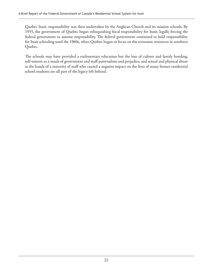Quebec Inuit, responsibility was then undertaken by the Anglican Church and its mission schools. By 1935, the government of Quebec began relinquishing fiscal responsibility for Inuit, legally forcing the federal government to assume responsibility. The federal government continued to hold responsibility for Inuit schooling until the 1960s, when Quebec began to focus on the economic resources in northern Quebec.

The schools may have provided a rudimentary education but the loss of culture and family bonding, self-esteem as a result of government and staff paternalism and prejudice, and sexual and physical abuse at the hands of a minority of staff who caused a negative impact on the lives of many former residential school students are all part of the legacy left behind.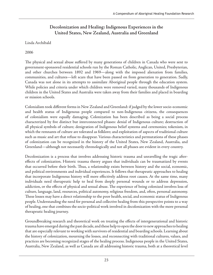# **Decolonization and Healing: Indigenous Experiences in the United States, New Zealand, Australia and Greenland**

#### Linda Archibald

2006

The physical and sexual abuse suffered by many generations of children in Canada who were sent to government-sponsored residential schools run by the Roman Catholic, Anglican, United, Presbyterian, and other churches between 1892 and 1969—along with the imposed alienation from families, communities, and cultures—left scars that have been passed on from generation to generation. Sadly, Canada was not alone in its attempts to assimilate Aboriginal people through the education system. While policies and criteria under which children were removed varied, many thousands of Indigenous children in the United States and Australia were taken away from their families and placed in boarding or mission schools.

Colonialism took different forms in New Zealand and Greenland: if judged by the lower socio-economic and health status of Indigenous people compared to non-Indigenous citizens, the consequences of colonialism were equally damaging. Colonization has been described as being a social process characterized by five distinct but interconnected phases: denial of Indigenous culture; destruction of all physical symbols of culture; denigration of Indigenous belief systems and ceremonies; tokenism, in which the remnants of culture are tolerated as folklore; and exploitation of aspects of traditional culture such as music and art that refuse to disappear. Various characteristics and permutations of these phases of colonization can be recognized in the history of the United States, New Zealand, Australia, and Greenland—although not necessarily chronologically and not all phases are evident in every country.

Decolonization is a process that involves addressing historic trauma and unravelling the tragic aftereffects of colonization. Historic trauma theory argues that individuals can be traumatized by events that occurred before their birth. Thus, a relationship exists between history and the social, economic, and political environments and individual experiences. It follows that therapeutic approaches to healing that incorporate Indigenous history will more effectively address root causes. At the same time, many individuals need therapeutic help to heal from deeply personal wounds or to address depression, addiction, or the effects of physical and sexual abuse. The experience of being colonized involves loss of culture, language, land, resources, political autonomy, religious freedom, and, often, personal autonomy. These losses may have a direct relationship to the poor health, social, and economic status of Indigenous people. Understanding the need for personal and collective healing from this perspective points to a way of healing, one that combines the socio-political work involved in decolonization with the more personal therapeutic healing journey.

Groundbreaking research and theoretical work on treating the effects of intergenerational and historic trauma have emerged during the past decade, and these help to open the door to new approaches to healing that are especially relevant to working with survivors of residential and boarding schools. Learning about the history of colonization, mourning the losses, and reconnecting with traditional cultures, values, and practices are becoming recognized stages of the healing process. Indigenous people in the United States, Australia, New Zealand, as well as Canada are all addressing historic trauma, both at a theoretical level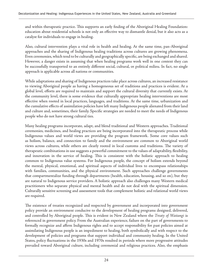and within therapeutic practice. This supports an early finding of the Aboriginal Healing Foundation: education about residential schools is not only an effective way to dismantle denial, but it also acts as a catalyst for individuals to engage in healing.

Also, cultural intervention plays a vital role in health and healing. At the same time, pan-Aboriginal approaches and the sharing of Indigenous healing traditions across cultures are growing phenomena. Even ceremonies, which tend to be culturally and geographically specific, are being exchanged and shared. However, a danger exists in assuming that when healing programs work well in one context they can be successfully transported to an entirely different social, cultural, or political milieu. In fact, no single approach is applicable across all nations or communities.

While adaptations and sharing of Indigenous practices take place across cultures, an increased resistance to viewing Aboriginal people as having a homogeneous set of traditions and practices is evident. At a global level, efforts are required to maintain and support the cultural diversity that currently exists. At the community level, there is some evidence that culturally appropriate healing interventions are most effective when rooted in local practices, languages, and traditions. At the same time, urbanization and the cumulative effects of assimilation policies have left many Indigenous people alienated from their land and culture and, sometimes, their family. Specific strategies are needed to meet the needs of Indigenous people who do not have strong cultural ties.

Many healing programs incorporate, adapt, and blend traditional and Western approaches. Traditional ceremonies, medicines, and healing practices are being incorporated into the therapeutic process while Indigenous values and world views are providing the program framework. Some core values such as holism, balance, and connection to family and the environment are common to Aboriginal world views across cultures, while others are clearly rooted in local customs and traditions. The variety of therapeutic combinations in use suggests a powerful commitment to the values of adaptability, flexibility, and innovation in the service of healing. This is consistent with the holistic approach to healing common to Indigenous value systems. For Indigenous people, the concept of holism extends beyond the mental, physical, emotional, and spiritual aspects of individual lives to encompass relationships with families, communities, and the physical environment. Such approaches challenge governments that compartmentalize funding through departments (health, education, housing, and so on), but they are natural to Indigenous service providers. A holistic approach also challenges many Western medical practitioners who separate physical and mental health and do not deal with the spiritual dimension. Culturally sensitive screening and assessment tools that complement holistic and relational world views are required.

The existence of treaties recognized and respected by government and incorporated into government policy provide an environment conducive to the development of healing programs designed, delivered, and controlled by Aboriginal people. This is evident in New Zealand where the *Treaty of Waitangi* is referenced in government policy. From the Australian experience, failure on the part of governments to formally recognize and affirm Indigenous rights and to accept responsibility for past policies aimed at assimilating Indigenous people is an impediment to healing, both symbolically and with respect to the development of policies and programs that support individual and community healing. In the United States, policy fluctuations in the 1930s and 1970s resulted in periods where more progressive attitudes prevailed toward Aboriginal culture, including ceremonial and religious practices. Also, the emphasis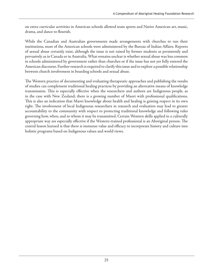on extra-curricular activities in American schools allowed team sports and Native American art, music, drama, and dance to flourish.

While the Canadian and Australian governments made arrangements with churches to run their institutions, most of the American schools were administered by the Bureau of Indian Affairs. Reports of sexual abuse certainly exist, although the issue is not raised by former students as persistently and pervasively as in Canada or in Australia. What remains unclear is whether sexual abuse was less common in schools administered by government rather than churches or if the issue has not yet fully entered the American discourse. Further research is required to clarify this issue and to explore a possible relationship between church involvement in boarding schools and sexual abuse.

The Western practice of documenting and evaluating therapeutic approaches and publishing the results of studies can complement traditional healing practices by providing an alternative means of knowledge transmission. This is especially effective when the researchers and authors are Indigenous people, as in the case with New Zealand; there is a growing number of Maori with professional qualifications. This is also an indication that Maori knowledge about health and healing is gaining respect in its own right. The involvement of local Indigenous researchers in research and evaluation may lead to greater accountability to the community with respect to protecting traditional knowledge and following rules governing how, when, and to whom it may be transmitted. Certain Western skills applied in a culturally appropriate way are especially effective if the Western-trained professional is an Aboriginal person. The central lesson learned is that there is immense value and efficacy to incorporate history and culture into holistic programs based on Indigenous values and world views.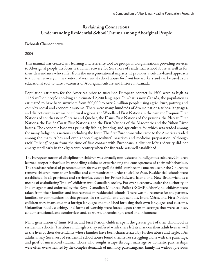# **Reclaiming Connections: Understanding Residential School Trauma among Aboriginal People**

#### Deborah Chansonneuve

#### 2005

This manual was created as a learning and reference tool for groups and organizations providing services to Aboriginal people. Its focus is trauma recovery for Survivors of residential school abuse as well as for their descendants who suffer from the intergenerational impacts. It provides a culture-based approach to trauma recovery in the context of residential school abuse for front line workers and can be used as an educational tool to raise awareness of Aboriginal culture and history in Canada.

Population estimates for the Americas prior to sustained European contact in 1500 were as high as 112.5 million people speaking an estimated 2,200 languages. In what is now Canada, the population is estimated to have been anywhere from 500,000 to over 2 million people using agriculture, pottery, and complex social and economic systems. There were many hundreds of diverse nations, tribes, languages, and dialects within six major cultural regions: the Woodland First Nations in the east, the Iroquois First Nations of southeastern Ontario and Quebec, the Plains First Nations of the prairies, the Plateau First Nations, the Pacific Coast First Nations, and the First Nations of the Mackenzie and the Yukon River basins. The economic base was primarily fishing, hunting, and agriculture for which was traded among the many Indigenous nations, including the Inuit. The first Europeans who came to the Americas traded among the many tribes and even adopted agricultural practices and medicine preparation. Although racial "mixing" began from the time of first contact with Europeans, a distinct Métis identity did not emerge until early in the eighteenth century when the fur trade was well established.

The European notion of discipline for children was virtually non-existent in Indigenous cultures. Children learned proper behaviour by modelling adults or experiencing the consequences of their misbehaviour. The steadfast refusal of parents to *spare the rod or spoil the child* later became one excuse for the Church to remove children from their families and communities in order to *civilize them*. Residential schools were established in all provinces and territories, except for Prince Edward Island and New Brunswick, as a means of assimilating "Indian" children into Canadian society. For over a century, under the authority of Indian agents and enforced by the Royal Canadian Mounted Police (RCMP), Aboriginal children were taken from their families and incarcerated in residential schools. There was no recourse for the parents, families, or communities in this process. In residential and day schools, Inuit, Métis, and First Nation children were instructed in a foreign language and punished for using their own languages and customs. Unfamiliar foods, clothing, and forms of worship were forced upon them in settings that were, at best, cold, institutional, and comfortless and, at worst, unremittingly cruel and inhumane.

Many generations of Inuit, Métis, and First Nation children spent the greater part of their childhood in residential schools. The abuse and neglect they suffered while there left its mark on their adult lives as well as the lives of their descendants whose families have been characterized by further abuse and neglect. As adults, many Survivors of residential school abuse found themselves struggling alone with the pain, rage, and grief of unresolved trauma. Those who sought escape through marriage or domestic partnerships were often overwhelmed by the complex demands of intimacy, parenting, and family life without previous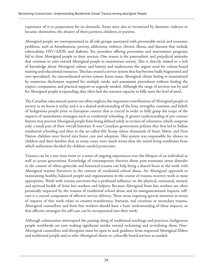experience of it or preparation for its demands. Some were also re-victimized by domestic violence or became, themselves, the abusers of their partners, children, or parents.

Aboriginal people are overrepresented in all risk-groups associated with preventable social and economic problems, such as homelessness, poverty, addictions, violence, chronic illness, and diseases that include tuberculosis, HIV/AIDS, and diabetes. Yet, providers offering prevention and intervention programs fail to draw Aboriginal people to their services. One reason is the paternalistic and prejudicial attitudes that continue to exist toward Aboriginal people in mainstream society. This is directly related to a lack of knowledge about Aboriginal culture and history and underscores the urgent need for culture-based training and educational resources. This has created a service system that has become badly fragmented and over-specialized. An uncoordinated service system leaves many Aboriginal clients feeling re-traumatized by numerous disclosures required for multiple intake and assessment procedures without finding the respect, compassion, and practical support so urgently needed. Although the range of services run by and for Aboriginal people is expanding, they often lack the resource capacity to fully meet the level of need.

The Canadian educational system too often neglects the important contributions of Aboriginal people to society as we know it today, and it is a shared understanding of the lives, strengths, customs, and beliefs of Indigenous people prior to European contact that is crucial in order to fully grasp the scope of the impacts of assimilation strategies such as residential schooling. A greater understanding of pre-contact history may prevent Aboriginal people from being defined solely as victims of colonizers, which comprise only a small part of their overall histories. It was Canadian government policies that first led to Indian residential schooling and then to the so-called 60s Scoop where thousands of Inuit, Métis, and First Nation children were forced into foster care and adoption. This system was responsible for abuses to children and their families that, in many cases, were much worse than the initial living conditions from which authorities decided the children needed protection.

Trauma can be a one-time event or a series of ongoing experiences over the lifespan of an individual as well as across generations. Knowledge of contemporary theories about post-traumatic stress disorder in the context of ethno-genocide and historical trauma can help bring a shared focus to the work with Aboriginal trauma Survivors in the context of residential school abuse. An Aboriginal approach to maintaining healthy, balanced people and organizations in the course of trauma recovery work is most appropriate. Work with trauma survivors has a profound influence on the physical, emotional, mental, and spiritual health of front line workers and helpers. Because Aboriginal front line workers are often personally impacted by the trauma of residential school abuse and its intergenerational impacts, selfcare is a crucial component of effective service delivery. Three areas requiring special attention in terms of impacts of this work relate to counter-transference, burnout, and vicarious or secondary trauma. Aboriginal counsellors and front line workers should have a basic understanding of these impacts, so that effective strategies for self-care can be incorporated into their work.

Although colonization interrupted the passing along of traditional teachings and practices, Indigenous people worldwide are now making significant strides toward reclaiming and revitalizing them. Non-Aboriginal counsellors and therapists must be open to seek guidance from respected Aboriginal Elders and traditional people and to refer Aboriginal clients to culturally based services as needed.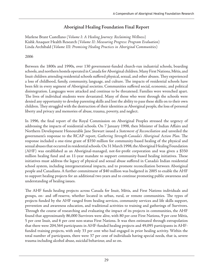# **Aboriginal Healing Foundation Final Report**

Marlene Brant Castellano (*Volume I: A Healing Journey: Reclaiming Wellness*) Kishk Anaquot Health Research (*Volume II: Measuring Progress: Program Evaluation*) Linda Archibald (*Volume III: Promising Healing Practices in Aboriginal Communities*)

#### 2006

Between the 1800s and 1990s, over 130 government-funded church-run industrial schools, boarding schools, and northern hostels operated in Canada for Aboriginal children. Many First Nations, Métis, and Inuit children attending residential schools suffered physical, sexual, and other abuses. They experienced a loss of childhood, family, community, language, and culture. The impacts of residential schools have been felt in every segment of Aboriginal societies. Communities suffered social, economic, and political disintegration. Languages were attacked and continue to be threatened. Families were wrenched apart. The lives of individual students were devastated. Many of those who went through the schools were denied any opportunity to develop parenting skills and lost the ability to pass these skills on to their own children. They struggled with the destruction of their identities as Aboriginal people, the loss of personal liberty and privacy and memories of abuse, trauma, poverty, and neglect.

In 1996, the final report of the Royal Commission on Aboriginal Peoples stressed the urgency of addressing the impacts of residential schools. On 7 January 1998, then Minister of Indian Affairs and Northern Development Honourable Jane Stewart issued a *Statement of Reconciliation* and unveiled the government's response to the RCAP report, *Gathering Strength-Canada's Aboriginal Action Plan*. The response included a one-time grant of \$350 million for community-based healing of the physical and sexual abuses that occurred in residential schools. On 31 March 1998, the Aboriginal Healing Foundation (AHF) was established as an Aboriginal-managed, not-for-profit corporation and was given a \$350 million healing fund and an 11-year mandate to support community-based healing initiatives. These initiatives must address the legacy of physical and sexual abuse suffered in Canada's Indian residential school system, including intergenerational impacts, and to promote reconciliation between Aboriginal people and Canadians. A further commitment of \$40 million was budgeted in 2005 to enable the AHF to support healing projects for an additional two years and to continue promoting public awareness and understanding of healing issues.

The AHF funds healing projects across Canada for Inuit, Métis, and First Nations individuals and groups, on- and off-reserve, whether located in urban, rural, or remote communities. The types of projects funded by the AHF ranged from healing services, community services and life skills support, prevention and awareness education, and traditional activities to training and gatherings of Survivors. Through the course of researching and evaluating the impact of its projects in communities, the AHF found that approximately 86,000 Survivors were alive, with 80 per cent First Nations, 9 per cent Métis, 5 per cent Inuit, and 6 per cent non-status First Nations. It was then estimated through extrapolation that there were 204,564 participants in AHF-funded healing projects and 49,095 participants in AHFfunded training projects, with only 33 per cent who had engaged in prior healing activity. Within the total number of participants, there were 37 per cent of individuals having special needs, that is, severe trauma including alcohol abuse, suicidal behaviour, and so on.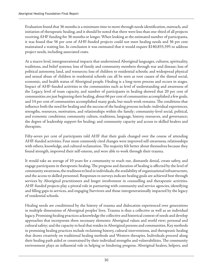Evaluation found that 36 months is a minimum time to move through needs identification, outreach, and initiation of therapeutic healing, and it should be noted that there were less than one-third of all projects receiving AHF funding for 36 months or longer. When looking at the estimated number of participants, it was found that 56 per cent of AHF-funded projects could not meet healing needs and 36 per cent maintained a waiting list. In conclusion it was estimated that it would require \$140,855,595 to address project needs, including associated costs.

At a macro level, intergenerational impacts that undermined Aboriginal languages, cultures, spirituality, traditions, and belief systems; loss of family and community members through war and disease; loss of political autonomy, land, and resources; loss of children to residential schools; and widespread physical and sexual abuse of children in residential schools can all be seen as root causes of the dismal social, economic, and health status of Aboriginal people. Healing is a long-term process and occurs in stages. Impact of AHF-funded activities in the communities such as level of understanding and awareness of the Legacy, level of team capacity, and number of participants in healing showed that 20 per cent of communities are just beginning their healing, about 66 per cent of communities accomplished a few goals, and 14 per cent of communities accomplished many goals, but much work remains. The conditions that influence both the need for healing and the success of the healing process include: individual experiences, strengths, resources, motivation, and relationships within the family; community-level social, political, and economic conditions; community culture, traditions, language, history, resources, and governance; the degree of leadership support for healing; and community capacity and access to skilled healers and therapists.

Fifty-seven per cent of participants told AHF that their goals changed over the course of attending AHF-funded activities. Four most commonly cited changes were improved self-awareness, relationships with others, knowledge, and cultural reclamation. The majority felt better about themselves because they found strength, improved their self-esteem, and were able to work through their trauma.

It would take an average of 10 years for a community to reach out, dismantle denial, create safety, and engage participants in therapeutic healing. The progress and duration of healing is affected by the level of community awareness, the readiness to heal in individuals, the availability of organizational infrastructure, and the access to skilled personnel. Responses to surveys indicate healing goals are achieved best through services by Aboriginal practitioners and longer involvement in counselling and therapeutic activities. AHF-funded projects play a pivotal role in partnering with community and service agencies, identifying and filling gaps in services, and engaging Survivors and those intergenerationally impacted by the legacy of residential schools.

Healing needs are conditioned by the history of trauma and dislocation experienced over generations in multiple dimensions of Aboriginal peoples' lives. Trauma is thus a collective as well as an individual legacy. Promising healing practices acknowledge the collective and historical context of needs and develop approaches that incorporate three necessary elements: Aboriginal values and world view; personal and cultural safety; and the capacity to heal that resides in Aboriginal persons and communities. Key methods in promising healing practices include reclaiming history, cultural interventions, and therapeutic healing that draws creatively on traditional healing methods and Western therapies. Individuals proceed along their healing path aided or constrained by their individual strengths and vulnerabilities. The community environment plays an influential role in helping or hindering progress. Aboriginal healers, helpers, and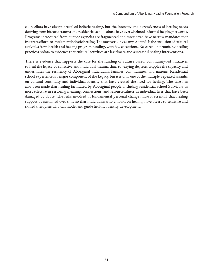counsellors have always practised holistic healing, but the intensity and pervasiveness of healing needs deriving from historic trauma and residential school abuse have overwhelmed informal helping networks. Programs introduced from outside agencies are fragmented and most often have narrow mandates that frustrate efforts to implement holistic healing. The most striking example of this is the exclusion of cultural activities from health and healing program funding, with few exceptions. Research on promising healing practices points to evidence that cultural activities are legitimate and successful healing interventions.

There is evidence that supports the case for the funding of culture-based, community-led initiatives to heal the legacy of collective and individual trauma that, to varying degrees, cripples the capacity and undermines the resiliency of Aboriginal individuals, families, communities, and nations. Residential school experience is a major component of the Legacy, but it is only one of the multiple, repeated assaults on cultural continuity and individual identity that have created the need for healing. The case has also been made that healing facilitated by Aboriginal people, including residential school Survivors, is most effective in restoring meaning, connections, and resourcefulness in individual lives that have been damaged by abuse. The risks involved in fundamental personal change make it essential that healing support be sustained over time so that individuals who embark on healing have access to sensitive and skilled therapists who can model and guide healthy identity development.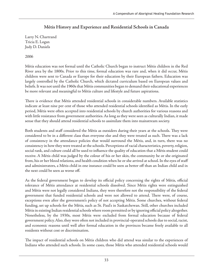# **Métis History and Experience and Residential Schools in Canada**

Larry N. Chartrand Tricia E. Logan Judy D. Daniels

#### 2006

Métis education was not formal until the Catholic Church began to instruct Métis children in the Red River area by the 1800s. Prior to this time, formal education was rare and, when it did occur, Métis children were sent to Canada or Europe for their education by their European fathers. Education was largely controlled by the Catholic Church, which dictated curriculum based on European values and beliefs. It was not until the 1960s that Métis communities began to demand their educational experiences be more relevant and meaningful to Métis culture and lifestyle and future aspirations.

There is evidence that Métis attended residential schools in considerable numbers. Available statistics indicate at least nine per cent of those who attended residential schools identified as Métis. In the early period, Métis were often accepted into residential schools by church authorities for various reasons and with little resistance from government authorities. As long as they were seen as culturally Indian, it made sense that they should attend residential schools to assimilate them into mainstream society.

Both students and staff considered the Métis as outsiders during their years at the schools. They were considered to be in a different class than everyone else and they were treated as such. There was a lack of consistency in the attendance policies that would surround the Métis, and, in turn, there was no consistency in how they were treated at the schools. Perceptions of racial characteristics, poverty, religion, social rank, and culture could all be used to influence the quality of education that a Métis student could receive. A Métis child was judged by the colour of his or her skin, the community he or she originated from, his or her blood relations, and health condition when he or she arrived at school. In the eyes of staff and administrators, a Métis child in one instance could be seen as better off than an Indian child and in the next could be seen as worse off.

As the federal government began to develop its official policy concerning the rights of Métis, official tolerance of Métis attendance at residential schools dissolved. Since Métis rights were extinguished and Métis were not legally considered Indians, they were therefore not the responsibility of the federal government that funded residential schools and were not allowed to attend. There were, of course, exceptions even after the government's policy of not accepting Métis. Some churches, without federal funding, set up schools for the Métis, such as St. Paul's in Saskatchewan. Still, other churches included Métis in existing Indian residential schools where room permitted or by ignoring official policy altogether. Nonetheless, by the 1930s, most Métis were excluded from formal education because of federal government policy. Also, they were often not included in provincial-operated schools due to social, racist, and economic reasons until well after formal education in the provinces became freely available to all residents without cost or discrimination.

The impact of residential schools on Métis children who did attend was similar to the experiences of Indians who attended such schools. In some cases, those Métis who attended residential schools would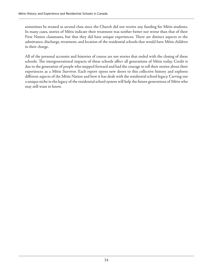sometimes be treated as second class since the Church did not receive any funding for Métis students. In many cases, stories of Métis indicate their treatment was neither better nor worse than that of their First Nation classmates, but that they did have unique experiences. There are distinct aspects to the admittance, discharge, treatment, and location of the residential schools that would have Métis children in their charge.

All of the personal accounts and histories of course are not stories that ended with the closing of these schools. The intergenerational impacts of these schools affect all generations of Métis today. Credit is due to the generation of people who stepped forward and had the courage to tell their stories about their experiences as a Métis Survivor. Each report opens new doors to this collective history and explores different aspects of the Métis Nation and how it has dealt with the residential school legacy. Carving out a unique niche in the legacy of the residential school system will help the future generations of Métis who may still want to know.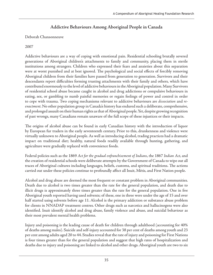# **Addictive Behaviours Among Aboriginal People in Canada**

#### Deborah Chansonneuve

#### 2007

Addictive behaviours are a way of coping with emotional pain. Residential schooling brutally severed generations of Aboriginal children's attachments to family and community, placing them in sterile institutions among strangers. Children who expressed their fears and anxieties about this separation were at worst punished and at best ignored. The psychological and social effects of forcibly removing Aboriginal children from their families have passed from generation to generation. Survivors and their descendants report difficulties forming trusting attachments with their family and others, which have contributed enormously to the level of addictive behaviours in the Aboriginal population. Many Survivors of residential school abuse became caught in alcohol and drug addictions or compulsive behaviours in eating, sex, or gambling to numb painful memories or regain feelings of power and control in order to cope with trauma. Two coping mechanisms relevant to addictive behaviours are *dissociation* and *reenactment*. No other population group in Canada's history has endured such a deliberate, comprehensive, and prolonged assault on their human rights as that of Aboriginal people. Yet, despite growing recognition of past wrongs, many Canadians remain unaware of the full scope of these injustices or their impacts.

The origins of alcohol abuse can be found in early Canadian history with the introduction of liquor by European fur traders in the early seventeenth century. Prior to this, drunkenness and violence were virtually unknown to Aboriginal people. As well as introducing alcohol, trading practices had a dramatic impact on traditional diet; healthy, natural foods readily available through hunting, gathering, and agriculture were gradually replaced with convenience foods.

Federal policies such as the 1869 *Act for the gradual enfranchisement of Indians*, the 1867 *Indian Act*, and the creation of residential schools were deliberate attempts by the Government of Canada to wipe out all traces of Aboriginal cultures including languages, beliefs, customs, and spiritual traditions. The actions carried out under these policies continue to profoundly affect all Inuit, Métis, and First Nation people.

Alcohol and drug abuse are deemed the most frequent or constant problem in Aboriginal communities. Death due to alcohol is two times greater than the rate for the general population, and death due to illicit drugs is approximately three times greater than the rate for the general population. One in five Aboriginal youth reported having used solvents; of these, one in three were under the age of 15 and over half started using solvents before age 11. Alcohol is the primary addiction or substance abuse problem for clients in NNADAP treatment centres. Other drugs such as narcotics and hallucinogens were also identified. Inuit identify alcohol and drug abuse, family violence and abuse, and suicidal behaviour as their most prevalent mental health problems.

Injury and poisoning is the leading cause of death for children through adulthood (accounting for 40% of deaths among males). Suicide and self-injury accounted for 38 per cent of deaths among youth and 23 per cent among adults aged 20 to 44. Studies reveal that the rate of injury and poisoning for First Nations is four times greater than for the general population and suggest that high rates of hospitalization and deaths due to injury and poisoning are linked to alcohol and other drugs. Aboriginal youth are two to six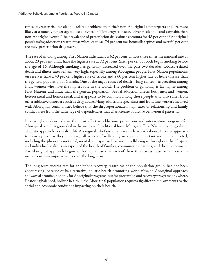times at greater risk for alcohol-related problems than their non-Aboriginal counterparts and are more likely at a much younger age to use all types of illicit drugs, tobacco, solvents, alcohol, and cannabis than non-Aboriginal youth. The prevalence of prescription drug abuse accounts for 48 per cent of Aboriginal people using addiction treatment services; of these, 74 per cent use benzodiazepines and over 60 per cent are poly-prescription drug users.

The rate of smoking among First Nation individuals is 62 per cent, almost three times the national rate of about 23 per cent. Inuit have the highest rate at 72 per cent. Sixty per cent of both begin smoking before the age of 16. Although smoking has generally decreased over the past two decades, tobacco-related death and illness rates remain very high, especially among Aboriginal people. First Nation populations on reserves have a 40 per cent higher rate of stroke and a 60 per cent higher rate of heart disease than the general population of Canada. One of the major causes of death—lung cancer—is prevalent among Inuit women who have the highest rate in the world. The problem of gambling is far higher among First Nations and Inuit than the general population. Sexual addiction affects both men and women, heterosexual and homosexual, and it appears to be common among those people who also suffer from other addictive disorders such as drug abuse. Many addictions specialists and front line workers involved with Aboriginal communities believe that the disproportionately high rates of relationship and family conflict arise from the same type of dependencies that characterize addictive behavioural patterns.

Increasingly, evidence shows the most effective addictions prevention and intervention programs for Aboriginal people is grounded in the wisdom of traditional Inuit, Métis, and First Nation teachings about a holistic approach to a healthy life. Aboriginal belief systems have much to teach about a broader approach to recovery because they emphasize all aspects of well-being are equally important and interconnected, including the physical, emotional, mental, and spiritual; balanced well-being is throughout the lifespan; and individual health is an aspect of the health of families, communities, nations, and the environment. An Aboriginal approach begins with the premise that each of these three areas must be addressed in order to sustain improvements over the long term.

The long-term success rate for addictions recovery, regardless of the population group, has not been encouraging. Because of its alternative, holistic health-promoting world view, an Aboriginal approach shows real promise, not only for Aboriginal programs, but for prevention and recovery programs anywhere. Restoring balanced, holistic health in the Aboriginal population requires significant improvements to the social and economic conditions impacting on their health.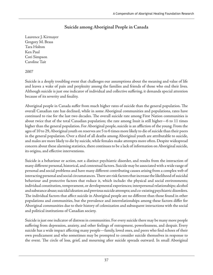# **Suicide among Aboriginal People in Canada**

Laurence J. Kirmayer Gregory M. Brass Tara Holton Ken Paul Cori Simpson Caroline Tait

2007

Suicide is a deeply troubling event that challenges our assumptions about the meaning and value of life and leaves a wake of pain and perplexity among the families and friends of those who end their lives. Although suicide is just one indicator of individual and collective suffering, it demands special attention because of its severity and finality.

Aboriginal people in Canada suffer from much higher rates of suicide than the general population. The overall Canadian rate has declined, while in some Aboriginal communities and populations, rates have continued to rise for the last two decades. The overall suicide rate among First Nation communities is about twice that of the total Canadian population; the rate among Inuit is still higher—6 to 11 times higher than the general population. For Aboriginal people, suicide is an affliction of the young. From the ages of 10 to 29, Aboriginal youth on reserves are 5 to 6 times more likely to die of suicide than their peers in the general population. Over a third of all deaths among Aboriginal youth are attributable to suicide, and males are more likely to die by suicide, while females make attempts more often. Despite widespread concern about these alarming statistics, there continues to be a lack of information on Aboriginal suicide, its origins, and effective interventions.

Suicide is a behaviour or action, not a distinct psychiatric disorder, and results from the interaction of many different personal, historical, and contextual factors. Suicide may be associated with a wide range of personal and social problems and have many different contributing causes arising from a complex web of interacting personal and social circumstances. There are risk factors that increase the likelihood of suicidal behaviour and protective factors that reduce it, which include: the physical and social environments; individual constitution, temperament, or developmental experiences; interpersonal relationships; alcohol and substance abuse; suicidal ideation and previous suicide attempts; and co-existing psychiatric disorders. The individual factors that affect suicide in Aboriginal people are no different than those found in other populations and communities, but the prevalence and interrelationships among these factors differ for Aboriginal communities due to their history of colonization and subsequent interactions with the social and political institutions of Canadian society.

Suicide is just one indicator of distress in communities. For every suicide there may be many more people suffering from depression, anxiety, and other feelings of entrapment, powerlessness, and despair. Every suicide has a wide impact affecting many people—family, loved ones, and peers who find echoes of their own predicament and who sometimes may be prompted to consider suicide themselves in response to the event. The circle of loss, grief, and mourning after suicide spreads outward. In small Aboriginal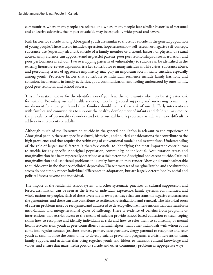communities where many people are related and where many people face similar histories of personal and collective adversity, the impact of suicide may be especially widespread and severe.

Risk factors for suicide among Aboriginal youth are similar to those for suicide in the general population of young people. These factors include depression, hopelessness, low self-esteem or negative self-concept, substance use (especially alcohol), suicide of a family member or a friend, history of physical or sexual abuse, family violence, unsupportive and neglectful parents, poor peer relationships or social isolation, and poor performance in school. Two overlapping patterns of vulnerability to suicide can be identified in the existing literature: severe depression is a key contributor to many suicides and life crises, substance abuse, and personality traits of aggressive impulsivity may play an important role in many suicides, especially among youth. Protective factors that contribute to individual resilience include family harmony and cohesion, involvement in family activities, good communication and feeling understood by one's family, good peer relations, and school success.

This information allows for the identification of youth in the community who may be at greater risk for suicide. Providing mental health services, mobilizing social support, and increasing community involvement for these youth and their families should reduce their risk of suicide. Early interventions with families and communities to support the healthy development of infants and children may reduce the prevalence of personality disorders and other mental health problems, which are more difficult to address in adolescents or adults.

Although much of the literature on suicide in the general population is relevant to the experience of Aboriginal people, there are specific cultural, historical, and political considerations that contribute to the high prevalence and that require the rethinking of conventional models and assumptions. Understanding of the role of larger social factors is therefore crucial to identifying the most important contributors to suicide for any specific Aboriginal population, community, or individual. Acculturation stress and marginalization has been repeatedly described as a risk factor for Aboriginal adolescent suicide. Cultural marginalization and associated problems in identity formation may render Aboriginal youth vulnerable to suicide, even in the absence of clinical depression. These processes of marginalization and acculturation stress do not simply reflect individual differences in adaptation, but are largely determined by social and political forces beyond the individual.

The impact of the residential school system and other systematic practices of cultural suppression and forced assimilation can be seen at the levels of individual experience, family systems, communities, and whole nations or peoples. Each of these levels has its own pathways that can transmit negative effects across the generations, and these can also contribute to resilience, revitalization, and renewal. The historical roots of current problems must be recognized and addressed to develop effective interventions that can transform intra-familial and intergenerational cycles of suffering. There is evidence of benefits from programs or interventions that restrict access to the means of suicide; provide school-based education to teach coping skills; how to recognize and identify individuals at risk; and how to refer them to counselling or mental health services; train youth as peer counsellors or natural helpers; train other individuals with whom youth come into regular contact (teachers, nurses, primary care providers, clergy, parents) to recognize and refer youth at risk, mobilize the community to develop suicide prevention programs, a crisis intervention team, family support, and activities that bring together youth and Elders to transmit cultural knowledge and values; and ensure that mass media portray suicide and other community problems in appropriate ways.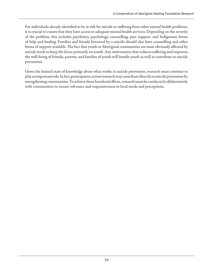For individuals already identified to be at risk for suicide or suffering from other mental health problems, it is crucial to ensure that they have access to adequate mental health services. Depending on the severity of the problem, this includes psychiatry, psychology, counselling, peer support, and Indigenous forms of help and healing. Families and friends bereaved by a suicide should also have counselling and other forms of support available. The fact that youth in Aboriginal communities are most obviously affected by suicide tends to keep the focus primarily on youth. Any intervention that reduces suffering and improves the well-being of friends, parents, and families of youth will benefit youth as well as contribute to suicide prevention.

Given the limited state of knowledge about what works in suicide prevention, research must continue to play an important role. In fact, participatory action research may contribute directly to suicide prevention by strengthening communities. To achieve these beneficial effects, research must be conducted collaboratively with communities to ensure relevance and responsiveness to local needs and perceptions.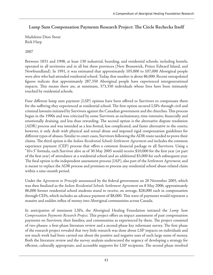### **Lump Sum Compensation Payments Research Project: The Circle Rechecks Itself**

Madeleine Dion Stout Rick Harp

#### 2007

Between 1831 and 1998, at least 130 industrial, boarding, and residential schools, including hostels, operated in all territories and in all but three provinces (New Brunswick, Prince Edward Island, and Newfoundland). In 1991, it was estimated that approximately 105,000 to 107,000 Aboriginal people were alive who had attended residential school. Today, that number is about 86,000. Recent extrapolated figures indicate that approximately 287,350 Aboriginal people have experienced intergenerational impacts. This means there are, at minimum, 373,350 individuals whose lives have been intimately touched by residential schools.

Four different lump sum payment (LSP) options have been offered to Survivors to compensate them for the suffering they experienced at residential school. The first option secured LSPs through civil and criminal lawsuits initiated by Survivors against the Canadian government and the churches. This process began in the 1990s and was criticized by some Survivors as exclusionary, time-intensive, financially and emotionally draining, and less than rewarding. The second option is the alternative dispute resolution (ADR) process and was intended as a less formal, less complicated, and faster alternative to the courts; however, it only dealt with physical and sexual abuse and imposed rigid compensation guidelines for different types of abuses. Similar to court cases, Survivors following the ADR route needed to prove their claims. The third option is the *Indian Residential Schools Settlement Agreement and* includes the common experience payment (CEP) process that offers a common financial package to all Survivors. Using a "10+3" formula, each Survivor alive as of 30 May 2005 would receive \$10,000 for the first year (or part of the first year) of attendance at a residential school and an additional \$3,000 for each subsequent year. The final option is the independent assessment process (IAP), also part of the *Settlement Agreement*, and is meant to replace the ADR process and promises to process any residential school abuse-related claim within a nine-month period.

Under the *Agreement in Principle* announced by the federal government on 20 November 2005, which was then finalized as the *Indian Residential Schools Settlement Agreement* on 8 May 2006, approximately 86,000 former residential school students stand to receive, on average, \$28,000 each in compensation through CEPs, which includes an advance payment of \$8,000. This wave of payments would represent a massive and sudden influx of money into Aboriginal communities across Canada.

In anticipation of imminent LSPs, the Aboriginal Healing Foundation initiated the *Lump Sum Compensation Payments Research Project.* This project offers an impact assessment of past compensation payments on Survivors, their families, and communities as experienced by them. The project consisted of two phases: a first-phase literature review and a second-phase key informant survey. The first phase of the research project revealed that very little research was done about LSP impacts on individuals and not much work had been carried out about the positive and negative uses of such large sums of money. Both the literature review and the survey analysis underscored the urgency of developing a strategy for efficient, culturally appropriate, and accessible supports for LSP recipients. The second phase involved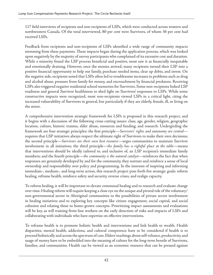117 field interviews of recipients and non-recipients of LSPs, which were conducted across western and northwestern Canada. Of the total interviewed, 80 per cent were Survivors, of whom 36 per cent had received LSPs.

Feedback from recipients and non-recipients of LSPs identified a wide range of community impacts stemming from these payments. These impacts began during the application process, which was looked upon negatively by the majority of survey participants who complained of its excessive cost and duration. While a minority found the LSP process beneficial and positive, most saw it as financially inequitable and emotionally draining. However, once the monies arrived, many recipients turned their LSP into a positive financial opportunity to help out family, purchase needed items, clear up debts, and invest. On the negative side, recipients noted that LSPs often led to troublesome increases in problems such as drug and alcohol abuse, pressure from family for money, and encroachment by financial predators. Receiving LSPs also triggered negative residential school memories for Survivors. Some non-recipients linked LSP readiness and general Survivor healthiness to shed light on Survivors' responses to LSPs. While some constructive impacts were recognized, most non-recipients viewed LSPs in a critical light, citing the increased vulnerability of Survivors in general, but particularly if they are elderly, female, ill, or living on the street.

A comprehensive intervention strategic framework for LSPs is proposed in this research project, and it begins with a discussion of the following cross-cutting issues: class, age, gender, religion, geographic location, culture, historic trauma, elder abuse, resources and funding, and research. Undergirding the framework are four strategic principles: the first principle—*Survivors' rights and autonomy are central* requires that LSP initiatives always respect the ultimate right of Survivors to make their own decisions; the second principle—*Survivors are their own best resource*—urges communities to maintain Survivor involvement in all initiatives; the third principle—*the family has a rightful place at the table*—means that interventions should be ideally tailored to, and inclusive of, an LSP recipient's immediate family members; and the fourth principle—*the community is the natural catalyst*—reinforces the fact that when responses are genuinely developed by and for the community, they nurture and reinforce a sense of local ownership and responsibility over policy and programming. In the interests of inspiring and informing immediate-, medium-, and long-term action, this research project puts forth five strategic goals: reform healing, reframe health, reinforce safety and security, reverse crises, and realign capacity.

To reform healing, it will be important to elevate communal healing and to research and evaluate change over time. Healing reform will require keeping a close eye on the unique and pivotal role of the voluntary/ non-governmental sector in Aboriginal communities to the possibilities of private sector involvement in healing initiatives and to exploring key concepts like citizen engagement, social capital, and social cohesion and relating these to home-grown concepts. Prioritizing impact assessments and evaluations will be key, as will training front-line workers on the early detection of risks and impacts of LSPs and collaborating with individuals who have expertise on effective interventions.

To reframe health is to promote holistic health and interventions and link health to wealth. Health disparities, mental health, addictions, and cultural competence have to be considered if health is to proceed holistically and across the spectrum of care. Elders' teachings about self-reliance, productivity, and usage of money have to be embedded into the meaning of culture for the long-term benefit of Survivors, families, and communities. Health can be viewed as an economic resource that can be pressed against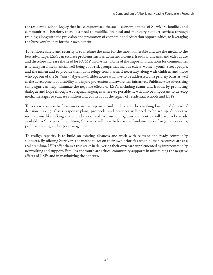the residential school legacy that has compromised the socio-economic status of Survivors, families, and communities. Therefore, there is a need to mobilize financial and monetary support services through training, along with the provision and promotion of economic and education opportunities, to leveraging the Survivors' money for their own benefit.

To reinforce safety and security is to mediate the risks for the most vulnerable and use the media to the best advantage. LSPs can escalate problems such as domestic violence, frauds and scams, and elder abuse and therefore increase the need for RCMP involvement. One of the important functions for communities is to safeguard the financial well-being of at-risk groups that include elders, women, youth, street people, and the infirm and to provide them with refuge from harm, if necessary, along with children and those who opt out of the *Settlement Agreement*. Elder abuse will have to be addressed on a priority basis as well as the development of disability and injury prevention and awareness initiatives. Public service advertising campaigns can help minimize the negative effects of LSPs, including scams and frauds, by promoting dialogue and hope through Aboriginal languages wherever possible. It will also be important to develop media messages to educate children and youth about the legacy of residential schools and LSPs.

To reverse crises is to focus on crisis management and understand the crushing burden of Survivors' decision making. Crisis response plans, protocols, and practices will need to be set up. Supportive mechanisms like talking circles and specialized treatment programs and centres will have to be made available to Survivors. In addition, Survivors will have to learn the fundamentals of negotiation skills, problem solving, and anger management.

To realign capacity is to build on existing alliances and work with relevant and ready community supports. By offering Survivors the means to act on their own priorities when human resources are at a real premium, LSPs offer them a true stake in delivering their own care supplemented by intercommunity networking and support. Families and youth are critical community supports in minimizing the negative effects of LSPs and in maximizing the benefits.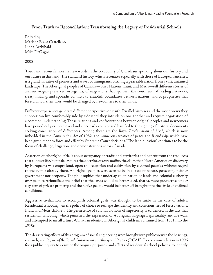# **From Truth to Reconciliation: Transforming the Legacy of Residential Schools**

Edited by: Marlene Brant Castellano Linda Archibald Mike DeGagné

#### 2008

Truth and reconciliation are new words in the vocabulary of Canadians speaking about our history and our future in this land. The standard history, which resonates especially with those of European ancestry, is a grand narrative of pioneers and waves of immigrants birthing a peaceable nation from a vast, untamed landscape. The Aboriginal peoples of Canada—First Nations, Inuit, and Métis—tell different stories of ancient origins preserved in legends, of migrations that spanned the continent, of trading networks, treaty making, and sporadic conflicts to establish boundaries between nations, and of prophecies that foretold how their lives would be changed by newcomers to their lands.

Different experiences generate different perspectives on truth. Parallel histories and the world views they support can live comfortably side by side until they intrude on one another and require negotiation of a common understanding. Tense relations and confrontations between original peoples and newcomers have periodically erupted over land since early contact and have led to the signing of historic documents seeking conciliation of differences. Among these are the *Royal Proclamation of 1763*, which is now imbedded in the *Constitution Act* of 1982, and numerous treaties of peace and friendship, which have been given modern force and effect by Supreme Court decisions. "The land question" continues to be the focus of challenge, litigation, and demonstrations across Canada.

Assertion of Aboriginal title is about occupancy of traditional territories and benefit from the resources that support life, but it also refutes the doctrine of *terra nullius*, the claim that North America on discovery by Europeans was empty land, open to occupation and cultivation by civilized peoples without regard to the people already there. Aboriginal peoples were seen to be in a state of nature, possessing neither government nor property. The philosophies that underlay colonization of lands and colonial authority over peoples rationalized the belief that the lands would be better used, that is, more productive, under a system of private property, and the native people would be better off brought into the circle of civilized conditions.

Aggressive civilization to accomplish colonial goals was thought to be futile in the case of adults. Residential schooling was the policy of choice to reshape the identity and consciousness of First Nations, Inuit, and Métis children. The persistence of colonial notions of superiority is evidenced in the fact that residential schooling, which punished the expression of Aboriginal languages, spirituality, and life ways and attempted to instill a Euro-Canadian identity in Aboriginal children, continued from 1831 into the 1970s.

The devastating effects of this program of social engineering were brought into public view in the hearings, research, and *Report of the Royal Commission on Aboriginal Peoples* (RCAP). Its recommendation in 1996 for a public inquiry to examine the origins, purposes, and effects of residential school policies, to identify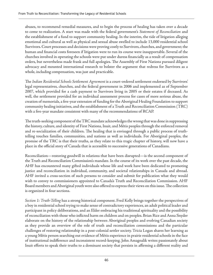abuses, to recommend remedial measures, and to begin the process of healing has taken over a decade to come to realization. A start was made with the federal government's *Statement of Reconciliation* and the establishment of a fund to support community healing. In the interim, the tide of litigation alleging emotional and cultural as well as physical and sexual abuse swelled to include 13,000 residential school Survivors. Court processes and decisions were proving costly to Survivors, churches, and government; the human and financial costs foreseen if litigation were to run its course were insupportable. Several of the churches involved in operating the schools were put under duress financially as a result of compensation orders, but nevertheless made frank and full apologies. The Assembly of First Nations pursued diligent advocacy and mounted international research to bolster the argument that redress for Survivors as a whole, including compensation, was just and practicable.

The *Indian Residential Schools Settlement Agreement* is a court-ordered settlement endorsed by Survivors' legal representatives, churches, and the federal government in 2006 and implemented as of September 2007, which provided for a cash payment to Survivors living in 2005 or their estates if deceased. As well, the settlement provided for an individual assessment process for cases of more serious abuse, the creation of memorials, a five-year extension of funding for the Aboriginal Healing Foundation to support community healing initiatives, and the establishment of a Truth and Reconciliation Commission (TRC) with a five-year mandate consistent with many of the recommendations of RCAP.

The truth-seeking component of the TRC mandate acknowledges the wrong that was done in suppressing the history, culture, and identity of First Nations, Inuit, and Métis peoples through the enforced removal and re-socialization of their children. The healing that is envisaged through a public process of truthtelling touches families, communities, and nations as well as individuals. For Aboriginal peoples, the promise of the TRC is that their truths, as they relate to this tragic chapter of history, will now have a place in the official story of Canada that is accessible to successive generations of Canadians.

Reconciliation—restoring goodwill in relations that have been disrupted—is the second component of the Truth and Reconciliation Commission's mandate. In the course of its work over the past decade, the AHF has encountered many gifted individuals whose life and work have been dedicated to promoting justice and reconciliation in individual, community, and societal relationships in Canada and abroad. AHF invited a cross-section of such persons to consider and submit for publication what they would wish to convey to commissioners appointed to Canada's Truth and Reconciliation Commission. AHF Board members and Aboriginal youth were also offered to express their views on this issue. The collection is organized in four sections.

*Section 1: Truth-Telling* has a strong historical component. Fred Kelly brings together the perspectives of a boy in residential school trying to make sense of contradictory experiences, an adult political leader and participant in policy deliberations, and an Elder embracing his traditional spirituality and the possibility of reconciliation with those who inflicted harm on children and on peoples. Brian Rice and Anna Snyder elaborate on the history of the relationship between Aboriginal peoples and evolving Canadian society as they provide an overview of the role of truth and reconciliation commissions and the particular challenges of restoring relationship in a post-colonial settler society. Tricia Logan shares her learning as a young Métis person searching out evidence of Métis experience in prairie residential schools in the face of institutional indifference and inconsistent record-keeping. John Amagoalik writes passionately about Inuit efforts to speak their truths to a dominant society that persists in affirming a different reality and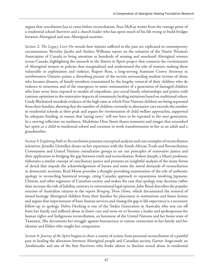argues that conciliation has to come before reconciliation. Stan McKay writes from the vantage point of a residential school Survivor and a church leader who has spent much of his life trying to build bridges between Aboriginal and non-Aboriginal societies.

*Section 2: The Legacy Lives On* reveals how injuries suffered in the past are replicated in contemporary circumstances. Beverley Jacobs and Andrea Williams report on the initiative of the Native Women's Association of Canada to bring attention to hundreds of missing and murdered Aboriginal women across Canada, highlighting the research in the Sisters in Spirit project that connects the victimization of Aboriginal women to policies that marginalized and undermined the role of women, making them vulnerable to exploitation and violence. Rupert Ross, a long-serving Assistant Crown Attorney in northwestern Ontario, paints a disturbing picture of the secrets surrounding student victims of abuse who became abusers, of family members traumatized by the lengthy removal of their children who do violence to returnees, and of the emergence in some communities of a generation of damaged children who have never been exposed to models of empathetic, pro-social family relationships and points with cautious optimism to the restorative impacts of community healing initiatives based on traditional values. Cindy Blackstock marshals evidence of the high rates at which First Nations children are being separated from their families, showing that the number of children currently in alternative care exceeds the number in residential schools at their peak and argues for reorientation of child welfare approaches, supported by adequate funding, to ensure that "saying sorry" will not have to be repeated in the next generation. In a moving reflection on resilience, Madeleine Dion Stout shares moments and images that nourished her spirit as a child in residential school and continue to work transformation in her as an adult and a grandmother.

*Section 3: Exploring Paths to Reconciliation* presents conceptual analyses and case examples of reconciliation initiatives. Jennifer Llewellyn draws on her experience with the South African Truth and Reconciliation Commission and United Nations consultative groups to set out principles of restorative justice and their application to bridging the gap between truth and reconciliation. Robert Joseph, a Maori professor, elaborates a similar concept of conciliatory justice and presents an insightful analysis of the many forms of denial that impede the acknowledgement of harms and mute the moral demands of reconciliation in democratic societies. Brad Morse provides a thought-provoking examination of the role of authentic apology in reconciling historical wrongs, citing Canada's approach to reparations involving Japanese, Chinese, and other segments of Canadian society and makes the case that apology may decrease rather than increase the risk of liability, contrary to conventional legal opinion. John Bond describes the popular reaction of Australian citizens to the report *Bringing Them Home,* which documented the removal of mixed heritage Aboriginal children from their families for placement in institutions and foster homes and argues that improvement of basic human services and closing the gap in life expectancy is a necessary follow-up to apology. Debra Hocking is one of the Stolen Generation in Australia who was cut off from her family and suffered abuse in foster care and went on to become a leader and spokesperson for human rights and Indigenous reconciliation, an honouree of the United Nations and her home state of Tasmania. She documents her struggle against bureaucracy to restore connection to her family and her identity and Elders who taught her compassion.

*Section 4: Journey of the Spirit* begins to chart a course of action, from personal reconciliation of a painful past to healing the alienation between Aboriginal people and Canadian society. Garnet Angeconeb, an Anishinaabe and one of the first Survivors who broke silence to disclose sexual abuse in residential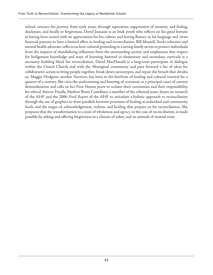school, retraces his journey from early years, through separation, suppression of memory and feeling, disclosure, and finally to forgiveness. David Joanasie is an Inuk youth who reflects on his good fortune at having been reared with an appreciation for his culture and having fluency in his language and views financial payouts to have a limited effect in healing and reconciliation. Bill Mussell, Sto:lo educator and mental health advocate, reflects on how cultural grounding in a strong family serves to protect individuals from the impacts of destabilizing influences from the surrounding society and emphasizes that respect for Indigenous knowledge and ways of knowing fostered in elementary and secondary curricula is a necessary building block for reconciliation. David MacDonald is a long-term participant in dialogue within the United Church and with the Aboriginal community and puts forward a list of ideas for collaborative action to bring people together, break down stereotypes, and repair the breach that divides us. Maggie Hodgson, another Survivor, has been in the forefront of healing and cultural renewal for a quarter of a century. She cites the undermining and banning of ceremony as a principal cause of current demoralization and calls on her First Nation peers to reclaim their ceremonies and their responsibility for ethical choices. Finally, Marlene Brant Castellano, a member of the editorial team, draws on research of the AHF and the 2006 *Final Report* of the AHF to articulate a holistic approach to reconciliation through the use of graphics to draw parallels between processes of healing at individual and community levels and the stages of acknowledgement, redress, and healing that prepare us for reconciliation. She proposes that the transformation to a state of wholeness and *agency*, in the case of reconciliation, is made possible by asking and offering forgiveness in a climate of safety and an attitude of mutual trust.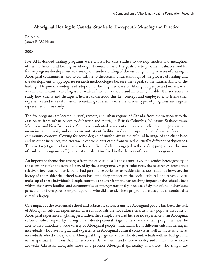# **Aboriginal Healing in Canada: Studies in Therapeutic Meaning and Practice**

Edited by: James B. Waldram

#### 2008

Five AHF-funded healing programs were chosen for case studies to develop models and metaphors of mental health and healing in Aboriginal communities. The goals are to provide a valuable tool for future program development, to develop our understanding of the meanings and processes of healing in Aboriginal communities, and to contribute to theoretical understandings of the process of healing and the development of appropriate research methodologies because they speak to the transferability of the findings. Despite the widespread adoption of healing discourse by Aboriginal people and others, what was actually meant by healing is not well-defined but variable and inherently flexible. It made sense to study how clients and therapists/healers understood this key concept and employed it to frame their experiences and to see if it meant something different across the various types of programs and regions represented in this study.

The five programs are located in rural, remote, and urban regions of Canada, from the west coast to the east coast, from urban centre to Subarctic and Arctic, in British Columbia, Nunavut, Saskatchewan, Manitoba, and New Brunswick. Some are residential treatment centres where clients undergo treatment on an in-patient basis, and others are outpatient facilities and even drop-in clinics. Some are located in community contexts allowing for some degree of uniformity in the cultural heritage of the client base, and in other instances, the treatment centre clients came from varied culturally different backgrounds. The two target groups for the research are individual clients engaged in the healing programs at the time of study and program staff (therapists, healers) involved in the delivery of treatment programs.

An important theme that emerges from the case studies is the cultural, age, and gender heterogeneity of the client or patient base that is served by these programs. Of particular note, the researchers found that relatively few research participants had personal experiences as residential school students; however, the legacy of the residential school system has left a deep impact on the social, cultural, and psychological make-up of these individuals. People continue to suffer from the far-reaching impact of the schools, be it within their own families and communities or intergenerationally, because of dysfunctional behaviours passed down from parents or grandparents who did attend. These programs are designed to combat this complex legacy.

One impact of the residential school and substitute care systems for Aboriginal people has been the lack of Aboriginal cultural experiences. These individuals are not culture-less, as many popular accounts of Aboriginal experience might suggest; rather, they simply have had little or no experience in an Aboriginal cultural milieu, especially during initial developmental stages. Effective treatment programs must be able to accommodate a wide variety of Aboriginal people: individuals from different cultural heritages; individuals who have no practical experience in Aboriginal cultural contexts as well as those who have; individuals who do not speak an Aboriginal language and those who do; individuals with no background in the spiritual traditions that underscore such treatment and those who do; and individuals who are avowedly Christian alongside those who practice Aboriginal spirituality and those who simply are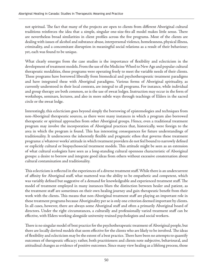not spiritual. The fact that many of the projects are open to clients from different Aboriginal cultural traditions reinforces the idea that a simple, singular one-size-fits-all model makes little sense. There are nevertheless broad similarities in client profiles across the five programs. Most of the clients are dealing with issues of alcohol and substance abuse, interpersonal violence, homelessness, physical illness, criminality, and a concomitant disruption in meaningful social relations as a result of their behaviour; yet, each was found to be unique.

What clearly emerges from the case studies is the importance of flexibility and eclecticism in the development of treatment models. From the use of the Medicine Wheel to New Age and popular cultural therapeutic modalities, these programs were operating freely to meet the variable needs of their clients. These programs have borrowed liberally from biomedical and psychotherapeutic treatment paradigms and have integrated these with Aboriginal paradigms. Various forms of Aboriginal spirituality, as currently understood in their local contexts, are integral to all programs. For instance, while individual and group therapy are both common, so is the use of sweat lodges. Instruction may occur in the form of workshops, seminars, lectures, and also in more subtle ways through teachings of Elders in the sacred circle or the sweat lodge.

Interestingly, this eclecticism goes beyond simply the borrowing of epistemologies and techniques from non-Aboriginal therapeutic sources, as there were many instances in which a program also borrowed therapeutic or spiritual approaches from other Aboriginal groups. Hence, even a traditional treatment program may involve the incorporation of Aboriginal practices that, historically, were foreign to the area in which the program is found. This has interesting consequences for future understandings of traditionality. It underscores the inherently flexible and pragmatic ethos that governs these treatment programs: a 'whatever works' attitude in which treatment providers do not feel bound to narrowly defined or explicitly cultural or biopsychosocial treatment models. This attitude might be seen as an extension of what cultural ecologists have seen as a long-standing cultural openness characteristic of Aboriginal groups: a desire to borrow and integrate good ideas from others without excessive consternation about cultural contamination and traditionality.

This eclecticism is reflected in the experiences of a diverse treatment staff. While there is an undercurrent of affinity for Aboriginal staff, what mattered was the ability to be empathetic and competent, which was variably defined but suggestive of a demand for knowledgeable and experienced treatment staff. The model of treatment employed in many instances blurs the distinction between healer and patient, as the treatment staff are sometimes on their own healing journey and gain therapeutic benefit from their work with the clients. This means that non-Aboriginal treatment staff are playing an important role in these treatment programs because Aboriginality per se is only one criterion deemed important by clients. In all cases, however, there are always some Aboriginal staff and often a primarily Aboriginal board of directors. Under the right circumstances, a culturally and professionally varied treatment staff can be effective, with Elders working alongside university-trained psychologists and social workers.

There is no singular model of best practice for the psychotherapeutic treatment of Aboriginal people, but there are locally derived models that seem effective for the clients who are likely to be involved. The ideas of flexibility and eclecticism may be the extent of a best practice. There have been no attempts to quantify outcomes of therapeutic efficacy; rather, both practitioners and clients note subjective, behavioural, and attitudinal changes as evidence of positive outcomes. Since many view healing as a lifelong process, those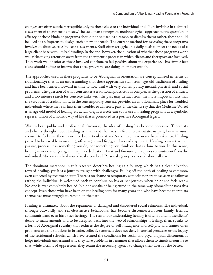changes are often subtle, perceptible only to those close to the individual and likely invisible in a clinical assessment of therapeutic efficacy. The lack of an appropriate methodological approach to the question of efficacy of these kinds of programs should not be used as a reason to dismiss them; rather, these should be used as an impetus to design such a new approach. The current method for assessing these programs involves qualitative, case-by-case assessments. Staff often struggle on a daily basis to meet the needs of a large client base with limited funding. In the end, however, the question of whether these programs work well risks taking attention away from the therapeutic process in which clients and therapists are involved. They work well insofar as those involved continue to feel positive about the experience. This simple fact alone should suffice to inform that these programs are doing an important job.

The approaches used in these programs to be Aboriginal in orientation are conceptualized in terms of traditionality; that is, an understanding that these approaches stem from age-old traditions of healing and have been carried forward in time to now deal with very contemporary mental, physical, and social problems. The question of what constitutes a traditional practice is as complex as the question of efficacy, and a too intense search for concrete links with the past may detract from the more important fact that the very idea of traditionality, in the contemporary context, provides an emotional safe place for troubled individuals where they can link their troubles to a historic past. If the clients say that the Medicine Wheel is an age-old model of healing, its actual origin is irrelevant to its use in healing programs as a symbolic representation of a holistic way of life that is promoted as a positive Aboriginal legacy.

Within both public and professional discourse, the idea of healing has become pervasive. Therapists and clients thought about healing as a concept that was difficult to articulate, in part, because most seemed to feel that there is no need to articulate it and/or simply have never been asked to. Healing proved to be variable in meaning, often vague and fuzzy, and very idiosyncratic. Healing is an active, not passive, process: it is something you do, not something you think or that is done to you. In this sense, healing is work, is ongoing, and requires dedication. First and foremost, it requires commitment from the individual. No one can heal you or make you heal. Personal agency is stressed above all else.

The dominant metaphor in this research describes healing as a journey, which has a clear direction toward healing, yet it is a journey fraught with challenges. Falling off the path of healing is common, even expected by treatment staff. There is no shame to temporary setbacks nor are these seen as failures; rather, the individual is welcomed back to continue on his or her journey when he or she feels ready. No one is ever completely healed. No one speaks of being cured in the same way biomedicine uses this concept. Even those who have been on the healing path for many years and who have become therapists themselves must struggle to remain on the path.

Healing is ultimately about the reparation of damaged and disordered social relations. The individual, through outwardly and self-destructive behaviours, has become disconnected from family, friends, community, and even his or her heritage. The reason for undertaking healing is often found in the clients' desire to make amends and to be accepted back into the web of relationships. Healing, then, speaks to a form of Aboriginal sociality that reduces the degree of self-indulgence and self-pity and frames one's problems and the solutions in broader, collective terms. It does not deny historical processes or the legacy of the residential schools, which have created the conditions for social and psychological discontent. It helps individuals understand why they have problems in a manner that allows them to simultaneously see that, while victims of oppression, they retain the necessary agency to change their lives for the better.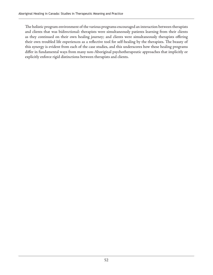The holistic program environment of the various programs encouraged an interaction between therapists and clients that was bidirectional: therapists were simultaneously patients learning from their clients as they continued on their own healing journey; and clients were simultaneously therapists offering their own troubled life experiences as a reflective tool for self-healing by the therapists. The beauty of this synergy is evident from each of the case studies, and this underscores how these healing programs differ in fundamental ways from many non-Aboriginal psychotherapeutic approaches that implicitly or explicitly enforce rigid distinctions between therapists and clients.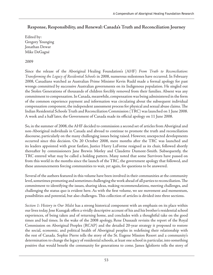# **Response, Responsibility, and Renewal: Canada's Truth and Reconciliation Journey**

Edited by: Gregory Younging Jonathan Dewar Mike DeGagné

#### 2009

Since the release of the Aboriginal Healing Foundation's (AHF) *From Truth to Reconciliation: Transforming the Legacy of Residential Schools* in 2008, numerous milestones have occurred. In February 2008, Canadians watched as Australian Prime Minister Kevin Rudd made a formal apology for past wrongs committed by successive Australian governments on its Indigenous population. He singled out the Stolen Generations of thousands of children forcibly removed from their families. Absent was any commitment to compensation. In Canada, meanwhile, compensation was being administered in the form of the common experience payment and information was circulating about the subsequent individual compensation component, the independent assessment process for physical and sexual abuse claims. The Indian Residential Schools Truth and Reconciliation Commission (TRC) was launched on 1 June 2008. A week and a half later, the Government of Canada made its official apology on 11 June 2008.

So, in the summer of 2008, the AHF decided to commission a second set of articles from Aboriginal and non-Aboriginal individuals in Canada and abroad to continue to promote the truth and reconciliation discourse, particularly on the many challenging issues being raised. However, unexpected developments occurred since this decision. On 20 October 2008, mere months after the TRC was launched and its leaders appointed with great fanfare, Justice Harry LaForme resigned as its chair, followed shortly thereafter by commissioners Jane Brewin Morley and Claudette Dumont-Smith. Subsequently, the TRC entered what may be called a holding pattern. Many noted that some Survivors have passed on from this world in the months since the launch of the TRC, the government apology that followed, and these announcements forcing communities to wait, yet again, for questions to be answered.

Several of the authors featured in this volume have been involved in their communities at the community level, sometimes promoting and sometimes challenging the work ahead of all parties to reconciliation. The commitment to identifying the issues, sharing ideas, making recommendations, meeting challenges, and challenging the status quo is evident here. As with the first volume, we see movement and momentum, possibilities and potential, but also challenges. This collection of articles is divided into three sections.

*Section 1: History in Our Midst* has a strong historical component with an emphasis on its place within our lives today. Jose Kusugak offers a vividly descriptive account of his and his brother's residential school experiences, of being taken and of returning home, and concludes with a thoughtful take on the good times and bad times. In the wake of the 2008 apology, Rene Dussault revisits the report of the Royal Commission on Aboriginal Peoples (RCAP) and the detailed 20-year strategy it proposed to restore the social, economic, and political health of Aboriginal peoples in redefining their relationship with the rest of Canada. Sophie Pierre tells the story of the St. Eugene Mission Resort and a community's determination to change the legacy of residential schools, at least one school in particular, into something positive that would benefit the community for generations to come. James Igloliorte tells the story of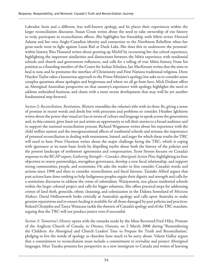Labrador Inuit and a different, less well-known apology, and he places their experiences within the larger reconciliation discourse. Susan Crean writes about the need to take ownership of our history to truly participate in reconciliation efforts. She highlights her friendship with Métis writer Howard Adams and her own Anglo-Canadian identity and connection to the Northwest Rebellion when her great-uncle went to fight against Louis Riel at Duck Lake. She does this to underscore the personalwithin history. Rita Flamand writes about growing up Michif by recounting her day school experience, highlighting the important similarities and distinctions between the Métis experience with residential schools and church and government influences, and calls for a telling of true Métis history. From his position as a founding member of the Centre for Indian Scholars, Ian MacKenzie writes that the time to heal is now, and he promotes the interface of Christianity and First Nations traditional religions. Drew Hayden Taylor takes a humorous approach to the Prime Minister's apology, but asks us to consider some complex questions about apologies and forgiveness and where we all go from here. Mick Dodson offers an Aboriginal Australian perspective on that country's experience with apology, highlights the need to address unfinished business, and closes with a most recent development that may well be yet another fundamental step forward.

*Section 2*: *Reconciliation, Restitution, Rhetoric* resembles the volume's title with its three *R*s, giving a sense of promise in recent words and deeds but with processes and problems to consider. Heather Igloliorte writes about the power that visual art has in terms of culture and language to speak across the generations and, in this context, gives Inuit art and artists an opportunity to tell their stories to a broad audience and to support the national reconciliation process. Richard Wagamese writes about his experience with the child welfare system and the intergenerational effects of residential schools and stresses the importance of personal reconciliation in dealing with resentment, hatred, and anger for which these truths the TRC will need to hear. Peter Harrison writes about the major challenge facing the TRC, which is coping with ignorance at its most basic levels by dispelling myths about both the history of the policies and the present landscape of settlement agreements and compensation. Scott Serson focuses on Canada's response to the RCAP report, *Gathering Strength—Canada's Aboriginal Action Plan*, highlighting its four objectives to renew partnerships, strengthen governance, develop a new fiscal relationship, and support strong communities, people, and economies. He asks the reader to first consider Canada's words and actions since 1998 and then to consider reconciliation and fiscal fairness. Taiaiake Alfred argues that past actions have done nothing to help Indigenous peoples regain their dignity and strength and calls for a restitution discourse to address the crime of colonialism. Waziyatawin, too, places residential schools within the larger colonial project and calls for bigger solutions. She offers practical steps for addressing crimes of land theft, genocide, ethnic cleansing, and colonization in the Dakota homeland of *Minisota Makoce*. David Hollinsworth looks critically at Australia's apology and calls upon Australia to make genuine reparations and to ensure healing is available for all those damaged by past policies and practices. Roland Chrisjohn and Tanya Wasacase tackle the rhetoric of Canada's apology and of the TRC mandate, arguing that the TRC will not produce justice even if successful.

*Section 3: Tomorrow's History* opens with the remarks made by the Most Reverend Fred Hiltz, Primate of the Anglican Church of Canada, in Ottawa, Ontario, on 2 March 2008 during "Remembering the Children: An Aboriginal and Church Leaders' Tour to Prepare for Truth and Reconciliation," pledging to live the words of apology as churches have much to be sorry about. Valerie Galley argues that a commitment to reconciliation must include a commitment to revitalize and protect Aboriginal languages. Mari Tanaka presents her perspective as a new immigrant to Canada and writes of learning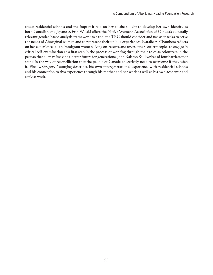about residential schools and the impact it had on her as she sought to develop her own identity as both Canadian and Japanese. Erin Wolski offers the Native Women's Association of Canada's culturally relevant gender-based analysis framework as a tool the TRC should consider and use as it seeks to serve the needs of Aboriginal women and to represent their unique experiences. Natalie A. Chambers reflects on her experiences as an immigrant woman living on-reserve and urges other settler peoples to engage in critical self-examination as a first step in the process of working through their roles as colonizers in the past so that all may imagine a better future for generations. John Ralston Saul writes of four barriers that stand in the way of reconciliation that the people of Canada collectively need to overcome if they wish it. Finally, Gregory Younging describes his own intergenerational experience with residential schools and his connection to this experience through his mother and her work as well as his own academic and activist work.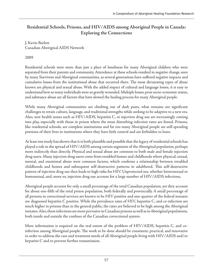# **Residential Schools, Prisons, and HIV/AIDS among Aboriginal People in Canada: Exploring the Connections**

J. Kevin Barlow Canadian Aboriginal AIDS Network

#### 2009

Residential schools were more than just a place of loneliness for many Aboriginal children who were separated from their parents and community. Attendance at these schools resulted in negative change, seen by many Survivors and Aboriginal communities, as several generations have suffered negative impacts and cumulative losses from the institutional abuse that occurred there. The most devastating types of abuse known are physical and sexual abuse. With the added impact of cultural and language losses, it is easy to understand how so many individuals were so gravely wounded. Multiple losses, poor socio-economic status, and substance abuse are all factors that have slowed the healing process for many Aboriginal people.

While many Aboriginal communities are climbing out of dark pasts, what remains are significant challenges to retain culture, language, and traditional strengths while seeking to be adaptive to a new era. Also, new health issues such as HIV/AIDS, hepatitis C, or injection drug use are increasingly coming into play, especially with those in prison where the most disturbing infection rates are found. Prisons, like residential schools, are complete institutions and far too many Aboriginal people are still spending portions of their lives in institutions where they have little control and are forbidden to leave.

At least one study has shown that it is both plausible and possible that the legacy of residential schools has played a role in the spread of HIV/AIDS among certain segments of the Aboriginal population, perhaps more indirectly than directly. Physical and sexual abuse are common to both male and female injection drug users. Many injection drug users come from troubled homes and childhoods where physical, sexual, mental, and emotional abuse were common factors, which confirms a relationship between troubled childhoods and homes and subsequent self-destructive patterns in adulthood. This self-destructive pattern of injection drug use then leads to high risks for HIV. Unprotected sex, whether heterosexual or homosexual, and, more so, injection drug use account for a large number of HIV/AIDS infections.

Aboriginal people account for only a small percentage of the total Canadian population, yet they account for about one-fifth of the total prison population, both federally and provincially. A small percentage of all persons in correctional services are known to be HIV positive and one-quarter of the federal inmates are diagnosed hepatitis C positive. While the prevalence rates of HIV, hepatitis C, and co-infection are much higher in prisons than in the general public, the rates are believed to be high among the Aboriginal inmates. Also, these infections are more pervasive in Canadian prisons as well as in Aboriginal populations, both inside and outside the confines of the Canadian correctional system.

More information is required on the real extent of the problem of HIV/AIDS, hepatitis C, and coinfection among Aboriginal people. The work to be done should be consistent, practical, and innovative in order to address the care and treatment needs of all Aboriginal people living with HIV/AIDS and/or hepatitis C and to prevent further transmission.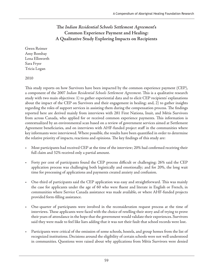#### **The** *Indian Residential Schools Settlement Agreement***'s Common Experience Payment and Healing: A Qualitative Study Exploring Impacts on Recipients**

Gwen Reimer Amy Bombay Lena Ellsworth Sara Fryer Tricia Logan

2010

This study reports on how Survivors have been impacted by the common experience payment (CEP), a component of the 2007 *Indian Residential Schools Settlement Agreement*. This is a qualitative research study with two main objectives: 1) to gather experiential data and to elicit CEP recipients' explanations about the impact of the CEP on Survivors and their engagement in healing; and, 2) to gather insights regarding the roles of support services in assisting them during the compensation process. The findings reported here are derived mainly from interviews with 281 First Nations, Inuit, and Métis Survivors from across Canada, who applied for or received common experience payments. This information is contextualized by an environmental scan based on a review of government services aimed at Settlement Agreement beneficiaries, and on interviews with AHF-funded project staff in the communities where key informants were interviewed. Where possible, the results have been quantified in order to determine the relative priority of impacts, reactions and opinions. The key findings of this study are:

- Most participants had received CEP at the time of the interview; 20% had confirmed receiving their full claim and 32% received only a partial amount.
- Forty per cent of participants found the CEP process difficult or challenging; 26% said the CEP application process was challenging both logistically and emotionally; and for 20%, the long wait time for processing of applications and payments created anxiety and confusion.
- One-third of participants said the CEP application was easy and straightforward. This was mainly the case for applicants under the age of 60 who were fluent and literate in English or French, in communities where Service Canada assistance was made available, or where AHF-funded projects provided form-filling assistance.
- One-quarter of participants were involved in the reconsideration request process at the time of interviews. These applicants were faced with the choice of retelling their story and of trying to prove their years of attendance in the hope that the government would validate their experiences. Survivors said they were made to feel like liars adding that it was not their fault that school records were lost.
- Participants were critical of the omission of some schools, hostels, and group homes from the list of recognized institutions. Decisions around the eligibility of certain schools were not well understood in communities. Questions were raised about why applications from Métis Survivors were denied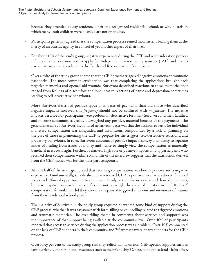because they attended as day-students, albeit at a recognized residential school, or why hostels in which many Inuit children were boarded are not on the list.

- Participants generally agreed that the compensation process seemed inconsistent, leaving them at the mercy of an outside agency in control of yet another aspect of their lives.
- For about 10% of the study group, negative experiences during the CEP and reconsideration process influenced their decision not to apply for Independent Assessment payments (IAP) and not to participate in activities related to the Truth and Reconciliation Commission.
- Over a third of the study group shared that the CEP process triggered negative emotions or traumatic flashbacks. The most common explanation was that completing the applications brought back negative memories and opened old wounds. Survivors described reactions to these memories that ranged from feelings of discomfort and loneliness to reactions of panic and depression, sometimes leading to self-destructive behaviours.
- More Survivors described positive types of impacts of payments than did those who described negative impacts; however, this *frequency* should not be confused with *magnitude*. The negative impacts described by participants were profoundly destructive for many Survivors and their families, and in some communities greatly outweighed any positive, material benefits of the payments. The general message of Survivors' accounts of negative impacts was that the decision to settle for individual monetary compensation was misguided and insufficient, compounded by a lack of planning on the part of those implementing the CEP to prepare for the triggers, self-destructive reactions, and predatory behaviours. In turn, Survivors' accounts of positive impacts convey a tendency to separate issues of healing from issues of money and hence to simply view the compensation as materially beneficial in its own right. Further, a relatively high rate of positive impacts among participants who received their compensation within six months of the interview suggests that the satisfaction derived from the CEP money was for the most part temporary.
- Almost half of the study group said that receiving compensation was both a positive and a negative experience. Fundamentally, this dualism characterized CEP as positive because it relieved financial stress and afforded opportunities to share with family or to make necessary and desired purchases, but also negative because these benefits did not outweigh the sense of injustice in the '10 plus 3' compensation formula nor did they alleviate the pain of triggered emotions and memories of trauma from their residential school years.
- The majority of Survivors in the study group required or wanted some kind of support during the CEP process, whether it was assistance with form-filling or counselling related to triggered emotions and traumatic memories. The over-riding theme in comments about services and supports was the importance of that support being available at the community-level. Over 40% of participants reported that access to services during the application process was a problem. Over 10% commented on the lack of CEP supports in their community, and 7% were unaware of any supports for the CEP process.
- Over forty per cent of the study group said they relied mainly on non-CEP specific supports such as family, friends, and/or on local resources such as the Friendship Centre, Band office, land-claim office,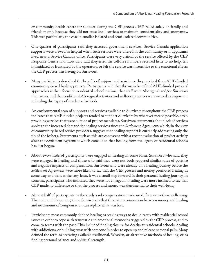or community health centre for support during the CEP process. 16% relied solely on family and friends mainly because they did not trust local services to maintain confidentiality and anonymity. This was particularly the case in smaller isolated and semi-isolated communities.

- One-quarter of participants said they accessed government services. Service Canada application supports were viewed as helpful when such services were offered in the community or if applicants lived near a Service Canada office. Participants were very critical of the service offered by the CEP Response Centre and most who said they tried the toll-free numbers received little to no help, felt intimidated or frustrated by the operators, or felt the service was insensitive to the emotional effects the CEP process was having on Survivors.
- Many participants described the benefits of support and assistance they received from AHF-funded community-based healing projects. Participants said that the main benefit of AHF-funded projects' approaches is their focus on residential school trauma, that staff were Aboriginal and/or Survivors themselves, and that traditional Aboriginal activities and wellness practices were viewed as important in healing the legacy of residential schools.
- An environmental scan of supports and services available to Survivors throughout the CEP process indicates that AHF-funded projects tended to support Survivors by whatever means possible, often providing services that were outside of project mandates. Survivors' statements about lack of services spoke to the increased demand for healing services since the *Settlement Agreement,* which, in the view of community-based service providers, suggests that healing support is currently addressing only the tip of the iceberg. Statements such as this are consistent with a recent evaluation of project activity since the *Settlement Agreement* which concluded that healing from the legacy of residential schools has just begun.
- About two-thirds of participants were engaged in healing in some form. Survivors who said they were engaged in healing and those who said they were not both reported similar rates of positive and negative impacts of compensation. Survivors who were already on a healing journey before the *Settlement Agreement* were more likely to say that the CEP process and money promoted healing in some way and that, at the very least, it was a small step forward in their personal healing journey. In contrast, participants who indicated they were not engaged in healing were more inclined to say that CEP made no difference or that the process and money was detrimental to their well-being.
- Almost half of participants in the study said compensation made no difference to their well-being. The main opinion among these Survivors is that there is no connection between money and healing and no amount of compensation can replace what was lost.
- Participants most commonly defined healing as seeking ways to deal directly with residential school issues in order to cope with traumatic and emotional memories triggered by the CEP process, and to come to terms with the past. This included finding closure for deaths at residential schools, dealing with addictions, or building trust with someone in order to open up and release personal pain. Many defined the term as accessing available traditional, Western, or alternative methods of healing, or as finding personal balance and spiritual strength.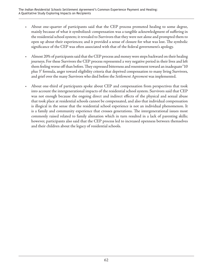- About one-quarter of participants said that the CEP process promoted healing to some degree, mainly because of what it symbolized: compensation was a tangible acknowledgment of suffering in the residential school system; it revealed to Survivors that they were not alone and prompted them to open up about their experiences; and it provided a sense of closure for what was lost. The symbolic significance of the CEP was often associated with that of the federal government's apology.
- Almost 20% of participants said that the CEP process and money were steps backward on their healing journeys. For these Survivors the CEP process represented a very negative period in their lives and left them feeling worse off than before. They expressed bitterness and resentment toward an inadequate "10 plus 3" formula, anger toward eligibility criteria that deprived compensation to many living Survivors, and grief over the many Survivors who died before the *Settlement Agreement* was implemented.
- About one-third of participants spoke about CEP and compensation from perspectives that took into account the intergenerational impacts of the residential school system. Survivors said that CEP was not enough because the ongoing direct and indirect effects of the physical and sexual abuse that took place at residential schools cannot be compensated, and also that individual compensation is illogical in the sense that the residential school experience is not an individual phenomenon. It is a family and community experience that crosses generations. The intergenerational issues most commonly raised related to family alienation which in turn resulted in a lack of parenting skills; however, participants also said that the CEP process led to increased openness between themselves and their children about the legacy of residential schools.